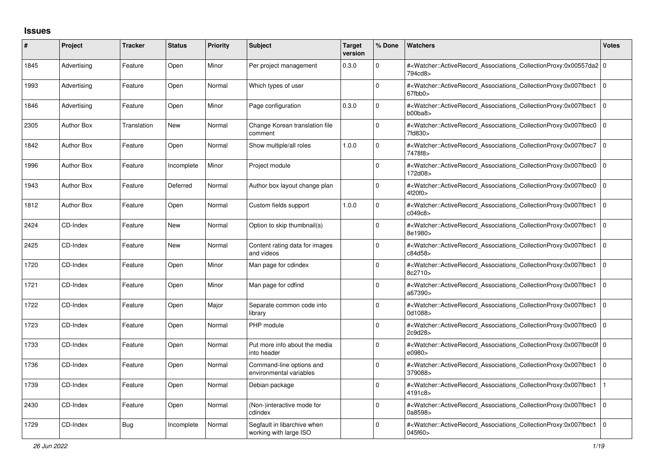## **Issues**

| ∦    | Project           | <b>Tracker</b> | <b>Status</b> | <b>Priority</b> | <b>Subject</b>                                        | <b>Target</b><br>version | % Done       | <b>Watchers</b>                                                                                                                                           | <b>Votes</b>   |
|------|-------------------|----------------|---------------|-----------------|-------------------------------------------------------|--------------------------|--------------|-----------------------------------------------------------------------------------------------------------------------------------------------------------|----------------|
| 1845 | Advertising       | Feature        | Open          | Minor           | Per project management                                | 0.3.0                    | $\Omega$     | # <watcher::activerecord 0<br="" associations="" collectionproxy:0x00557da2=""  ="">794cd8&gt;</watcher::activerecord>                                    |                |
| 1993 | Advertising       | Feature        | Open          | Normal          | Which types of user                                   |                          | $\Omega$     | # <watcher::activerecord associations="" collectionproxy:0x007fbec1<br="">67fbb0&gt;</watcher::activerecord>                                              | l o            |
| 1846 | Advertising       | Feature        | Open          | Minor           | Page configuration                                    | 0.3.0                    | $\Omega$     | # <watcher::activerecord_associations_collectionproxy:0x007fbec1<br>b00ba8</watcher::activerecord_associations_collectionproxy:0x007fbec1<br>             | l o            |
| 2305 | <b>Author Box</b> | Translation    | <b>New</b>    | Normal          | Change Korean translation file<br>comment             |                          | $\Omega$     | # <watcher::activerecord associations="" collectionproxy:0x007fbec0<br="">7fd830&gt;</watcher::activerecord>                                              | $\overline{0}$ |
| 1842 | <b>Author Box</b> | Feature        | Open          | Normal          | Show multiple/all roles                               | 1.0.0                    | $\Omega$     | # <watcher::activerecord_associations_collectionproxy:0x007fbec7<br>7478f8&gt;</watcher::activerecord_associations_collectionproxy:0x007fbec7<br>         | l o            |
| 1996 | Author Box        | Feature        | Incomplete    | Minor           | Project module                                        |                          | $\Omega$     | # <watcher::activerecord associations="" collectionproxy:0x007fbec0<br="">172d08&gt;</watcher::activerecord>                                              | l o            |
| 1943 | <b>Author Box</b> | Feature        | Deferred      | Normal          | Author box layout change plan                         |                          | $\Omega$     | # <watcher::activerecord_associations_collectionproxy:0x007fbec0<br>4f20f0&gt;</watcher::activerecord_associations_collectionproxy:0x007fbec0<br>         | l O            |
| 1812 | <b>Author Box</b> | Feature        | Open          | Normal          | Custom fields support                                 | 1.0.0                    | $\Omega$     | # <watcher::activerecord_associations_collectionproxy:0x007fbec1<br>c049c8</watcher::activerecord_associations_collectionproxy:0x007fbec1<br>             | $\overline{0}$ |
| 2424 | CD-Index          | Feature        | <b>New</b>    | Normal          | Option to skip thumbnail(s)                           |                          | <sup>0</sup> | # <watcher::activerecord associations="" collectionproxy:0x007fbec1<br="">8e1980&gt;</watcher::activerecord>                                              | $\overline{0}$ |
| 2425 | CD-Index          | Feature        | <b>New</b>    | Normal          | Content rating data for images<br>and videos          |                          | $\Omega$     | # <watcher::activerecord_associations_collectionproxy:0x007fbec1<br>c84d58&gt;</watcher::activerecord_associations_collectionproxy:0x007fbec1<br>         | l o            |
| 1720 | CD-Index          | Feature        | Open          | Minor           | Man page for cdindex                                  |                          | 0            | # <watcher::activerecord associations="" collectionproxy:0x007fbec1<br="">8c2710&gt;</watcher::activerecord>                                              | ١o             |
| 1721 | CD-Index          | Feature        | Open          | Minor           | Man page for cdfind                                   |                          | 0            | # <watcher::activerecord associations="" collectionproxy:0x007fbec1<br="">a67390&gt;</watcher::activerecord>                                              | l o            |
| 1722 | CD-Index          | Feature        | Open          | Major           | Separate common code into<br>library                  |                          | <sup>0</sup> | # <watcher::activerecord associations="" collectionproxy:0x007fbec1<br="">0d1088&gt;</watcher::activerecord>                                              | $\overline{0}$ |
| 1723 | CD-Index          | Feature        | Open          | Normal          | PHP module                                            |                          | 0            | # <watcher::activerecord associations="" collectionproxy:0x007fbec0<br="">2c9d28&gt;</watcher::activerecord>                                              | $\overline{0}$ |
| 1733 | CD-Index          | Feature        | Open          | Normal          | Put more info about the media<br>into header          |                          | $\Omega$     | # <watcher::activerecord_associations_collectionproxy:0x007fbec0f 0<br=""  ="">e0980&gt;</watcher::activerecord_associations_collectionproxy:0x007fbec0f> |                |
| 1736 | CD-Index          | Feature        | Open          | Normal          | Command-line options and<br>environmental variables   |                          | $\Omega$     | # <watcher::activerecord associations="" collectionproxy:0x007fbec1<br="">379088&gt;</watcher::activerecord>                                              | l 0            |
| 1739 | CD-Index          | Feature        | Open          | Normal          | Debian package                                        |                          | $\Omega$     | # <watcher::activerecord_associations_collectionproxy:0x007fbec1<br>4191c8&gt;</watcher::activerecord_associations_collectionproxy:0x007fbec1<br>         |                |
| 2430 | CD-Index          | Feature        | Open          | Normal          | (Non-)interactive mode for<br>cdindex                 |                          | $\mathbf 0$  | # <watcher::activerecord associations="" collectionproxy:0x007fbec1<br="">0a8598&gt;</watcher::activerecord>                                              | $\overline{0}$ |
| 1729 | CD-Index          | <b>Bug</b>     | Incomplete    | Normal          | Segfault in libarchive when<br>working with large ISO |                          | $\Omega$     | # <watcher::activerecord associations="" collectionproxy:0x007fbec1<br="">045f60&gt;</watcher::activerecord>                                              | l o            |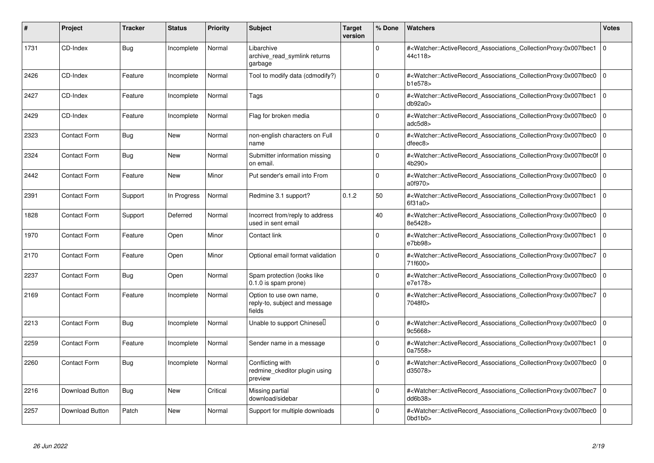| #    | Project             | <b>Tracker</b> | <b>Status</b> | Priority | <b>Subject</b>                                                     | <b>Target</b><br>version | % Done       | <b>Watchers</b>                                                                                                                                                            | <b>Votes</b> |
|------|---------------------|----------------|---------------|----------|--------------------------------------------------------------------|--------------------------|--------------|----------------------------------------------------------------------------------------------------------------------------------------------------------------------------|--------------|
| 1731 | CD-Index            | Bug            | Incomplete    | Normal   | Libarchive<br>archive_read_symlink returns<br>garbage              |                          | 0            | # <watcher::activerecord associations="" collectionproxy:0x007fbec1<br="">44c118&gt;</watcher::activerecord>                                                               | l O          |
| 2426 | CD-Index            | Feature        | Incomplete    | Normal   | Tool to modify data (cdmodify?)                                    |                          | $\Omega$     | # <watcher::activerecord_associations_collectionproxy:0x007fbec0 0<br=""  ="">b1e578&gt;</watcher::activerecord_associations_collectionproxy:0x007fbec0>                   |              |
| 2427 | CD-Index            | Feature        | Incomplete    | Normal   | Tags                                                               |                          | $\Omega$     | # <watcher::activerecord associations="" collectionproxy:0x007fbec1<br="">db92a0</watcher::activerecord>                                                                   | l O          |
| 2429 | CD-Index            | Feature        | Incomplete    | Normal   | Flag for broken media                                              |                          | 0            | # <watcher::activerecord_associations_collectionproxy:0x007fbec0 0<br=""  ="">adc5d8&gt;</watcher::activerecord_associations_collectionproxy:0x007fbec0>                   |              |
| 2323 | <b>Contact Form</b> | <b>Bug</b>     | <b>New</b>    | Normal   | non-english characters on Full<br>name                             |                          | $\Omega$     | # <watcher::activerecord_associations_collectionproxy:0x007fbec0 0<br=""  ="">dfeec8</watcher::activerecord_associations_collectionproxy:0x007fbec0>                       |              |
| 2324 | <b>Contact Form</b> | Bug            | <b>New</b>    | Normal   | Submitter information missing<br>on email.                         |                          | $\Omega$     | # <watcher::activerecord_associations_collectionproxy:0x007fbec0f 0<br=""  ="">4b290&gt;</watcher::activerecord_associations_collectionproxy:0x007fbec0f>                  |              |
| 2442 | <b>Contact Form</b> | Feature        | <b>New</b>    | Minor    | Put sender's email into From                                       |                          | $\Omega$     | # <watcher::activerecord_associations_collectionproxy:0x007fbec0<br>a0f970&gt;</watcher::activerecord_associations_collectionproxy:0x007fbec0<br>                          | l o          |
| 2391 | <b>Contact Form</b> | Support        | In Progress   | Normal   | Redmine 3.1 support?                                               | 0.1.2                    | 50           | # <watcher::activerecord_associations_collectionproxy:0x007fbec1<br>6f31a0&gt;</watcher::activerecord_associations_collectionproxy:0x007fbec1<br>                          | l o          |
| 1828 | Contact Form        | Support        | Deferred      | Normal   | Incorrect from/reply to address<br>used in sent email              |                          | 40           | # <watcher::activerecord associations="" collectionproxy:0x007fbec0<br="">8e5428&gt;</watcher::activerecord>                                                               | l 0          |
| 1970 | <b>Contact Form</b> | Feature        | Open          | Minor    | Contact link                                                       |                          | 0            | # <watcher::activerecord associations="" collectionproxy:0x007fbec1<br="">e7bb98&gt;</watcher::activerecord>                                                               | l O          |
| 2170 | <b>Contact Form</b> | Feature        | Open          | Minor    | Optional email format validation                                   |                          | $\mathbf 0$  | # <watcher::activerecord associations="" collectionproxy:0x007fbec7<br="">71f600&gt;</watcher::activerecord>                                                               | l O          |
| 2237 | <b>Contact Form</b> | <b>Bug</b>     | Open          | Normal   | Spam protection (looks like<br>0.1.0 is spam prone)                |                          | $\Omega$     | # <watcher::activerecord_associations_collectionproxy:0x007fbec0 0<br=""  ="">e7e178&gt;</watcher::activerecord_associations_collectionproxy:0x007fbec0>                   |              |
| 2169 | <b>Contact Form</b> | Feature        | Incomplete    | Normal   | Option to use own name,<br>reply-to, subject and message<br>fields |                          | <sup>0</sup> | # <watcher::activerecord_associations_collectionproxy:0x007fbec7<br>7048f0&gt;</watcher::activerecord_associations_collectionproxy:0x007fbec7<br>                          | l O          |
| 2213 | Contact Form        | Bug            | Incomplete    | Normal   | Unable to support Chinesel                                         |                          | 0            | # <watcher::activerecord 0<br="" associations="" collectionproxy:0x007fbec0=""  ="">9c5668&gt;</watcher::activerecord>                                                     |              |
| 2259 | Contact Form        | Feature        | Incomplete    | Normal   | Sender name in a message                                           |                          | $\Omega$     | # <watcher::activerecord_associations_collectionproxy:0x007fbec1<br>0a7558&gt;</watcher::activerecord_associations_collectionproxy:0x007fbec1<br>                          | l O          |
| 2260 | <b>Contact Form</b> | Bug            | Incomplete    | Normal   | Conflicting with<br>redmine ckeditor plugin using<br>preview       |                          | 0            | # <watcher::activerecord_associations_collectionproxy:0x007fbec0<br>d35078&gt;</watcher::activerecord_associations_collectionproxy:0x007fbec0<br>                          | l O          |
| 2216 | Download Button     | Bug            | <b>New</b>    | Critical | Missing partial<br>download/sidebar                                |                          | 0            | # <watcher::activerecord associations="" collectionproxy:0x007fbec7<br="">dd6b38&gt;</watcher::activerecord>                                                               | l O          |
| 2257 | Download Button     | Patch          | <b>New</b>    | Normal   | Support for multiple downloads                                     |                          | 0            | # <watcher::activerecord_associations_collectionproxy:0x007fbec0 0<br=""><math>0b</math>d<math>1b0b</math></watcher::activerecord_associations_collectionproxy:0x007fbec0> |              |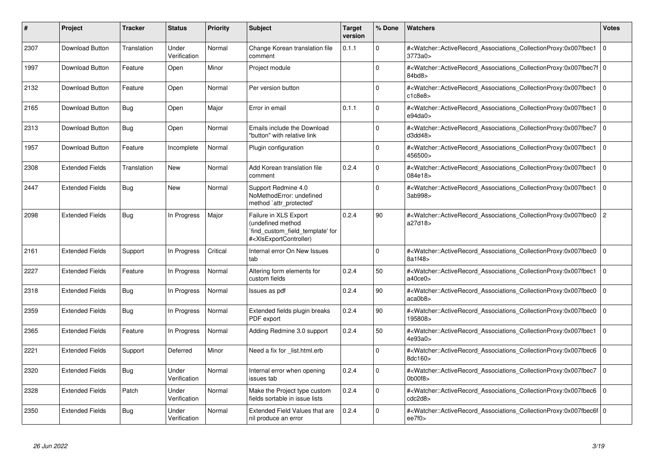| $\#$ | <b>Project</b>         | <b>Tracker</b> | <b>Status</b>         | <b>Priority</b> | <b>Subject</b>                                                                                                                                                                                                                                                                                                                                               | <b>Target</b><br>version | % Done   | <b>Watchers</b>                                                                                                                                              | <b>Votes</b>   |
|------|------------------------|----------------|-----------------------|-----------------|--------------------------------------------------------------------------------------------------------------------------------------------------------------------------------------------------------------------------------------------------------------------------------------------------------------------------------------------------------------|--------------------------|----------|--------------------------------------------------------------------------------------------------------------------------------------------------------------|----------------|
| 2307 | Download Button        | Translation    | Under<br>Verification | Normal          | Change Korean translation file<br>comment                                                                                                                                                                                                                                                                                                                    | 0.1.1                    | $\Omega$ | # <watcher::activerecord associations="" collectionproxy:0x007fbec1<br="">3773a0&gt;</watcher::activerecord>                                                 | $\mathbf 0$    |
| 1997 | Download Button        | Feature        | Open                  | Minor           | Project module                                                                                                                                                                                                                                                                                                                                               |                          | $\Omega$ | # <watcher::activerecord 0<br="" associations="" collectionproxy:0x007fbec7f=""  ="">84bd8&gt;</watcher::activerecord>                                       |                |
| 2132 | <b>Download Button</b> | Feature        | Open                  | Normal          | Per version button                                                                                                                                                                                                                                                                                                                                           |                          | 0        | # <watcher::activerecord associations="" collectionproxy:0x007fbec1<br="">c1c8e8</watcher::activerecord>                                                     | $\mathbf 0$    |
| 2165 | Download Button        | <b>Bug</b>     | Open                  | Major           | Error in email                                                                                                                                                                                                                                                                                                                                               | 0.1.1                    | $\Omega$ | # <watcher::activerecord_associations_collectionproxy:0x007fbec1<br>e94da0<sub>&gt;</sub></watcher::activerecord_associations_collectionproxy:0x007fbec1<br> | $\Omega$       |
| 2313 | Download Button        | <b>Bug</b>     | Open                  | Normal          | Emails include the Download<br>"button" with relative link                                                                                                                                                                                                                                                                                                   |                          | $\Omega$ | # <watcher::activerecord_associations_collectionproxy:0x007fbec7<br>d3dd48</watcher::activerecord_associations_collectionproxy:0x007fbec7<br>                | $\Omega$       |
| 1957 | Download Button        | Feature        | Incomplete            | Normal          | Plugin configuration                                                                                                                                                                                                                                                                                                                                         |                          | $\Omega$ | # <watcher::activerecord_associations_collectionproxy:0x007fbec1<br>456500&gt;</watcher::activerecord_associations_collectionproxy:0x007fbec1<br>            | $\Omega$       |
| 2308 | <b>Extended Fields</b> | Translation    | <b>New</b>            | Normal          | Add Korean translation file<br>comment                                                                                                                                                                                                                                                                                                                       | 0.2.4                    | $\Omega$ | # <watcher::activerecord_associations_collectionproxy:0x007fbec1<br>084e18&gt;</watcher::activerecord_associations_collectionproxy:0x007fbec1<br>            | l O            |
| 2447 | <b>Extended Fields</b> | Bug            | <b>New</b>            | Normal          | Support Redmine 4.0<br>NoMethodError: undefined<br>method `attr_protected'                                                                                                                                                                                                                                                                                   |                          | $\Omega$ | # <watcher::activerecord_associations_collectionproxy:0x007fbec1<br>3ab998&gt;</watcher::activerecord_associations_collectionproxy:0x007fbec1<br>            | $\mathbf 0$    |
| 2098 | <b>Extended Fields</b> | Bug            | In Progress           | Major           | Failure in XLS Export<br>undefined method<br>`find_custom_field_template' for<br># <xlsexportcontroller)< td=""><td>0.2.4</td><td>90</td><td>#<watcher::activerecord_associations_collectionproxy:0x007fbec0<br>a27d18&gt;</watcher::activerecord_associations_collectionproxy:0x007fbec0<br></td><td><math>\overline{2}</math></td></xlsexportcontroller)<> | 0.2.4                    | 90       | # <watcher::activerecord_associations_collectionproxy:0x007fbec0<br>a27d18&gt;</watcher::activerecord_associations_collectionproxy:0x007fbec0<br>            | $\overline{2}$ |
| 2161 | <b>Extended Fields</b> | Support        | In Progress           | Critical        | Internal error On New Issues<br>tab                                                                                                                                                                                                                                                                                                                          |                          | $\Omega$ | # <watcher::activerecord associations="" collectionproxy:0x007fbec0<br="">8a1f48&gt;</watcher::activerecord>                                                 | $\Omega$       |
| 2227 | <b>Extended Fields</b> | Feature        | In Progress           | Normal          | Altering form elements for<br>custom fields                                                                                                                                                                                                                                                                                                                  | 0.2.4                    | 50       | # <watcher::activerecord_associations_collectionproxy:0x007fbec1<br>a40ce0&gt;</watcher::activerecord_associations_collectionproxy:0x007fbec1<br>            | $\mathbf 0$    |
| 2318 | <b>Extended Fields</b> | Bug            | In Progress           | Normal          | Issues as pdf                                                                                                                                                                                                                                                                                                                                                | 0.2.4                    | 90       | # <watcher::activerecord_associations_collectionproxy:0x007fbec0<br>acab8</watcher::activerecord_associations_collectionproxy:0x007fbec0<br>                 | $\mathbf 0$    |
| 2359 | <b>Extended Fields</b> | Bug            | In Progress           | Normal          | Extended fields plugin breaks<br>PDF export                                                                                                                                                                                                                                                                                                                  | 0.2.4                    | 90       | # <watcher::activerecord associations="" collectionproxy:0x007fbec0<br="">195808&gt;</watcher::activerecord>                                                 | $\mathbf 0$    |
| 2365 | <b>Extended Fields</b> | Feature        | In Progress           | Normal          | Adding Redmine 3.0 support                                                                                                                                                                                                                                                                                                                                   | 0.2.4                    | 50       | # <watcher::activerecord associations="" collectionproxy:0x007fbec1<br="">4e93a0&gt;</watcher::activerecord>                                                 | $\mathbf 0$    |
| 2221 | <b>Extended Fields</b> | Support        | Deferred              | Minor           | Need a fix for list.html.erb                                                                                                                                                                                                                                                                                                                                 |                          | $\Omega$ | # <watcher::activerecord associations="" collectionproxy:0x007fbec6<br="">8dc160&gt;</watcher::activerecord>                                                 | $\mathbf 0$    |
| 2320 | <b>Extended Fields</b> | <b>Bug</b>     | Under<br>Verification | Normal          | Internal error when opening<br>issues tab                                                                                                                                                                                                                                                                                                                    | 0.2.4                    | 0        | # <watcher::activerecord_associations_collectionproxy:0x007fbec7<br>0b00f8</watcher::activerecord_associations_collectionproxy:0x007fbec7<br>                | $\Omega$       |
| 2328 | <b>Extended Fields</b> | Patch          | Under<br>Verification | Normal          | Make the Project type custom<br>fields sortable in issue lists                                                                                                                                                                                                                                                                                               | 0.2.4                    | $\Omega$ | # <watcher::activerecord_associations_collectionproxy:0x007fbec6<br>cdc2d8&gt;</watcher::activerecord_associations_collectionproxy:0x007fbec6<br>            | $\Omega$       |
| 2350 | <b>Extended Fields</b> | <b>Bug</b>     | Under<br>Verification | Normal          | Extended Field Values that are<br>nil produce an error                                                                                                                                                                                                                                                                                                       | 0.2.4                    | $\Omega$ | # <watcher::activerecord_associations_collectionproxy:0x007fbec6f 0<br=""  ="">ee7f0</watcher::activerecord_associations_collectionproxy:0x007fbec6f>        |                |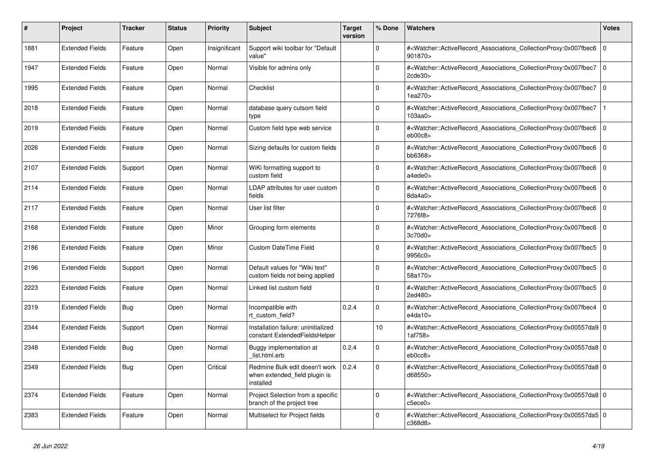| #    | <b>Project</b>         | Tracker | <b>Status</b> | <b>Priority</b> | <b>Subject</b>                                                               | <b>Target</b><br>version | % Done      | <b>Watchers</b>                                                                                                                                          | <b>Votes</b>   |
|------|------------------------|---------|---------------|-----------------|------------------------------------------------------------------------------|--------------------------|-------------|----------------------------------------------------------------------------------------------------------------------------------------------------------|----------------|
| 1881 | <b>Extended Fields</b> | Feature | Open          | Insignificant   | Support wiki toolbar for "Default<br>value"                                  |                          | $\Omega$    | # <watcher::activerecord associations="" collectionproxy:0x007fbec6<br="">901870&gt;</watcher::activerecord>                                             | l O            |
| 1947 | <b>Extended Fields</b> | Feature | Open          | Normal          | Visible for admins only                                                      |                          | $\mathbf 0$ | # <watcher::activerecord associations="" collectionproxy:0x007fbec7<br="">2cde30</watcher::activerecord>                                                 | $\Omega$       |
| 1995 | <b>Extended Fields</b> | Feature | Open          | Normal          | Checklist                                                                    |                          | $\Omega$    | # <watcher::activerecord_associations_collectionproxy:0x007fbec7<br>1ea270</watcher::activerecord_associations_collectionproxy:0x007fbec7<br>            | l o            |
| 2018 | <b>Extended Fields</b> | Feature | Open          | Normal          | database query cutsom field<br>type                                          |                          | $\Omega$    | # <watcher::activerecord_associations_collectionproxy:0x007fbec7<br>103aa0</watcher::activerecord_associations_collectionproxy:0x007fbec7<br>            | $\mathbf{1}$   |
| 2019 | <b>Extended Fields</b> | Feature | Open          | Normal          | Custom field type web service                                                |                          | $\mathbf 0$ | # <watcher::activerecord_associations_collectionproxy:0x007fbec6<br>eb00c8</watcher::activerecord_associations_collectionproxy:0x007fbec6<br>            | $\overline{0}$ |
| 2026 | <b>Extended Fields</b> | Feature | Open          | Normal          | Sizing defaults for custom fields                                            |                          | $\Omega$    | # <watcher::activerecord associations="" collectionproxy:0x007fbec6<br="">bb6368&gt;</watcher::activerecord>                                             | $\overline{0}$ |
| 2107 | <b>Extended Fields</b> | Support | Open          | Normal          | WiKi formatting support to<br>custom field                                   |                          | $\Omega$    | # <watcher::activerecord_associations_collectionproxy:0x007fbec6<br>a4ede0&gt;</watcher::activerecord_associations_collectionproxy:0x007fbec6<br>        | $\Omega$       |
| 2114 | <b>Extended Fields</b> | Feature | Open          | Normal          | LDAP attributes for user custom<br>fields                                    |                          | $\Omega$    | # <watcher::activerecord_associations_collectionproxy:0x007fbec6 0<br=""  ="">8da4a0&gt;</watcher::activerecord_associations_collectionproxy:0x007fbec6> |                |
| 2117 | <b>Extended Fields</b> | Feature | Open          | Normal          | User list filter                                                             |                          | $\mathbf 0$ | # <watcher::activerecord associations="" collectionproxy:0x007fbec6<br="">7276f8&gt;</watcher::activerecord>                                             | l 0            |
| 2168 | <b>Extended Fields</b> | Feature | Open          | Minor           | Grouping form elements                                                       |                          | $\Omega$    | # <watcher::activerecord associations="" collectionproxy:0x007fbec6<br="">3c70d0</watcher::activerecord>                                                 | $\mathbf 0$    |
| 2186 | <b>Extended Fields</b> | Feature | Open          | Minor           | <b>Custom DateTime Field</b>                                                 |                          | $\Omega$    | # <watcher::activerecord_associations_collectionproxy:0x007fbec5<br>9956c0&gt;</watcher::activerecord_associations_collectionproxy:0x007fbec5<br>        | l 0            |
| 2196 | <b>Extended Fields</b> | Support | Open          | Normal          | Default values for "Wiki text"<br>custom fields not being applied            |                          | $\Omega$    | # <watcher::activerecord_associations_collectionproxy:0x007fbec5 0<br=""  ="">58a170&gt;</watcher::activerecord_associations_collectionproxy:0x007fbec5> |                |
| 2223 | <b>Extended Fields</b> | Feature | Open          | Normal          | Linked list custom field                                                     |                          | $\Omega$    | # <watcher::activerecord_associations_collectionproxy:0x007fbec5<br>2ed480&gt;</watcher::activerecord_associations_collectionproxy:0x007fbec5<br>        | $\Omega$       |
| 2319 | <b>Extended Fields</b> | Bug     | Open          | Normal          | Incompatible with<br>rt custom field?                                        | 0.2.4                    | $\Omega$    | # <watcher::activerecord 0<br="" associations="" collectionproxy:0x007fbec4=""  ="">e4da10&gt;</watcher::activerecord>                                   |                |
| 2344 | <b>Extended Fields</b> | Support | Open          | Normal          | Installation failure: uninitialized<br>constant ExtendedFieldsHelper         |                          | 10          | # <watcher::activerecord_associations_collectionproxy:0x00557da9 0<br="">1af758&gt;</watcher::activerecord_associations_collectionproxy:0x00557da9>      |                |
| 2348 | <b>Extended Fields</b> | Bug     | Open          | Normal          | Buggy implementation at<br>list.html.erb                                     | 0.2.4                    | $\Omega$    | # <watcher::activerecord 0<br="" associations="" collectionproxy:0x00557da8=""  ="">eb0cc8</watcher::activerecord>                                       |                |
| 2349 | <b>Extended Fields</b> | Bug     | Open          | Critical        | Redmine Bulk edit doesn't work<br>when extended_field plugin is<br>installed | 0.2.4                    | $\mathbf 0$ | # <watcher::activerecord 0<br="" associations="" collectionproxy:0x00557da8=""  ="">d68550&gt;</watcher::activerecord>                                   |                |
| 2374 | <b>Extended Fields</b> | Feature | Open          | Normal          | Project Selection from a specific<br>branch of the project tree              |                          | $\Omega$    | # <watcher::activerecord_associations_collectionproxy:0x00557da8 0<br=""  ="">c5ece0&gt;</watcher::activerecord_associations_collectionproxy:0x00557da8> |                |
| 2383 | <b>Extended Fields</b> | Feature | Open          | Normal          | Multiselect for Project fields                                               |                          | $\Omega$    | # <watcher::activerecord_associations_collectionproxy:0x00557da5 0<br="">c368d8&gt;</watcher::activerecord_associations_collectionproxy:0x00557da5>      |                |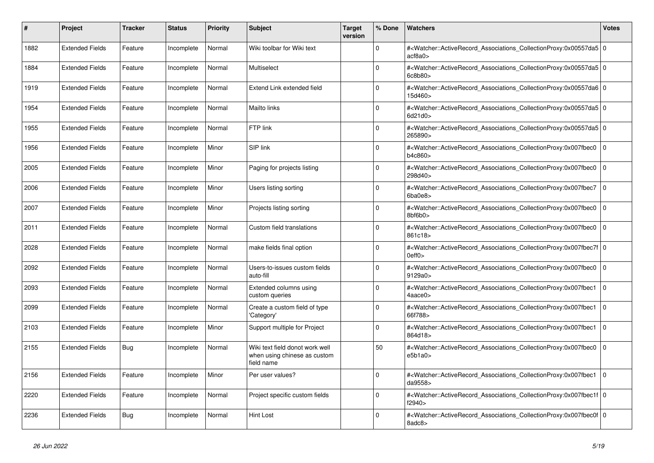| #    | <b>Project</b>         | Tracker | <b>Status</b> | <b>Priority</b> | <b>Subject</b>                                                                | <b>Target</b><br>version | % Done   | <b>Watchers</b>                                                                                                                                           | <b>Votes</b> |
|------|------------------------|---------|---------------|-----------------|-------------------------------------------------------------------------------|--------------------------|----------|-----------------------------------------------------------------------------------------------------------------------------------------------------------|--------------|
| 1882 | <b>Extended Fields</b> | Feature | Incomplete    | Normal          | Wiki toolbar for Wiki text                                                    |                          | $\Omega$ | # <watcher::activerecord 0<br="" associations="" collectionproxy:0x00557da5=""  ="">acf8a0</watcher::activerecord>                                        |              |
| 1884 | <b>Extended Fields</b> | Feature | Incomplete    | Normal          | Multiselect                                                                   |                          | $\Omega$ | # <watcher::activerecord_associations_collectionproxy:0x00557da5 0<br=""  ="">6c8b80</watcher::activerecord_associations_collectionproxy:0x00557da5>      |              |
| 1919 | <b>Extended Fields</b> | Feature | Incomplete    | Normal          | Extend Link extended field                                                    |                          | $\Omega$ | # <watcher::activerecord 0<br="" associations="" collectionproxy:0x00557da6=""  ="">15d460&gt;</watcher::activerecord>                                    |              |
| 1954 | <b>Extended Fields</b> | Feature | Incomplete    | Normal          | <b>Mailto links</b>                                                           |                          | $\Omega$ | # <watcher::activerecord 0<br="" associations="" collectionproxy:0x00557da5=""  ="">6d21d0&gt;</watcher::activerecord>                                    |              |
| 1955 | <b>Extended Fields</b> | Feature | Incomplete    | Normal          | FTP link                                                                      |                          | $\Omega$ | # <watcher::activerecord_associations_collectionproxy:0x00557da5 0<br=""  ="">265890&gt;</watcher::activerecord_associations_collectionproxy:0x00557da5>  |              |
| 1956 | <b>Extended Fields</b> | Feature | Incomplete    | Minor           | SIP link                                                                      |                          | $\Omega$ | # <watcher::activerecord 0<br="" associations="" collectionproxy:0x007fbec0=""  ="">b4c860&gt;</watcher::activerecord>                                    |              |
| 2005 | <b>Extended Fields</b> | Feature | Incomplete    | Minor           | Paging for projects listing                                                   |                          | $\Omega$ | # <watcher::activerecord_associations_collectionproxy:0x007fbec0<br>298d40&gt;</watcher::activerecord_associations_collectionproxy:0x007fbec0<br>         | $\mathbf 0$  |
| 2006 | <b>Extended Fields</b> | Feature | Incomplete    | Minor           | Users listing sorting                                                         |                          | $\Omega$ | # <watcher::activerecord_associations_collectionproxy:0x007fbec7<br>6ba0e8&gt;</watcher::activerecord_associations_collectionproxy:0x007fbec7<br>         | $\mathbf 0$  |
| 2007 | <b>Extended Fields</b> | Feature | Incomplete    | Minor           | Projects listing sorting                                                      |                          | $\Omega$ | # <watcher::activerecord_associations_collectionproxy:0x007fbec0 0<br=""  ="">8bf6b0&gt;</watcher::activerecord_associations_collectionproxy:0x007fbec0>  |              |
| 2011 | <b>Extended Fields</b> | Feature | Incomplete    | Normal          | Custom field translations                                                     |                          | $\Omega$ | # <watcher::activerecord associations="" collectionproxy:0x007fbec0<br="">861c18&gt;</watcher::activerecord>                                              | $\mathbf 0$  |
| 2028 | <b>Extended Fields</b> | Feature | Incomplete    | Normal          | make fields final option                                                      |                          | $\Omega$ | # <watcher::activerecord_associations_collectionproxy:0x007fbec7f 0<br=""  ="">0eff0</watcher::activerecord_associations_collectionproxy:0x007fbec7f>     |              |
| 2092 | <b>Extended Fields</b> | Feature | Incomplete    | Normal          | Users-to-issues custom fields<br>auto-fill                                    |                          | $\Omega$ | # <watcher::activerecord_associations_collectionproxy:0x007fbec0 0<br=""  ="">9129a0</watcher::activerecord_associations_collectionproxy:0x007fbec0>      |              |
| 2093 | <b>Extended Fields</b> | Feature | Incomplete    | Normal          | Extended columns using<br>custom queries                                      |                          | $\Omega$ | # <watcher::activerecord_associations_collectionproxy:0x007fbec1<br>4aace0&gt;</watcher::activerecord_associations_collectionproxy:0x007fbec1<br>         | $\mathbf 0$  |
| 2099 | <b>Extended Fields</b> | Feature | Incomplete    | Normal          | Create a custom field of type<br>'Category'                                   |                          | $\Omega$ | # <watcher::activerecord associations="" collectionproxy:0x007fbec1=""  <br="">66f788&gt;</watcher::activerecord>                                         | $\Omega$     |
| 2103 | <b>Extended Fields</b> | Feature | Incomplete    | Minor           | Support multiple for Project                                                  |                          | $\Omega$ | # <watcher::activerecord associations="" collectionproxy:0x007fbec1<br="">864d18&gt;</watcher::activerecord>                                              | $\mathbf 0$  |
| 2155 | <b>Extended Fields</b> | Bug     | Incomplete    | Normal          | Wiki text field donot work well<br>when using chinese as custom<br>field name |                          | 50       | # <watcher::activerecord associations="" collectionproxy:0x007fbec0<br="">e5b1a0</watcher::activerecord>                                                  | $\mathbf 0$  |
| 2156 | <b>Extended Fields</b> | Feature | Incomplete    | Minor           | Per user values?                                                              |                          | $\Omega$ | # <watcher::activerecord associations="" collectionproxy:0x007fbec1=""  <br="">da9558&gt;</watcher::activerecord>                                         | $\Omega$     |
| 2220 | <b>Extended Fields</b> | Feature | Incomplete    | Normal          | Project specific custom fields                                                |                          | $\Omega$ | # <watcher::activerecord_associations_collectionproxy:0x007fbec1f 0<br=""  ="">f2940&gt;</watcher::activerecord_associations_collectionproxy:0x007fbec1f> |              |
| 2236 | <b>Extended Fields</b> | Bug     | Incomplete    | Normal          | <b>Hint Lost</b>                                                              |                          | $\Omega$ | # <watcher::activerecord_associations_collectionproxy:0x007fbec0f 0<br=""  ="">8adc8&gt;</watcher::activerecord_associations_collectionproxy:0x007fbec0f> |              |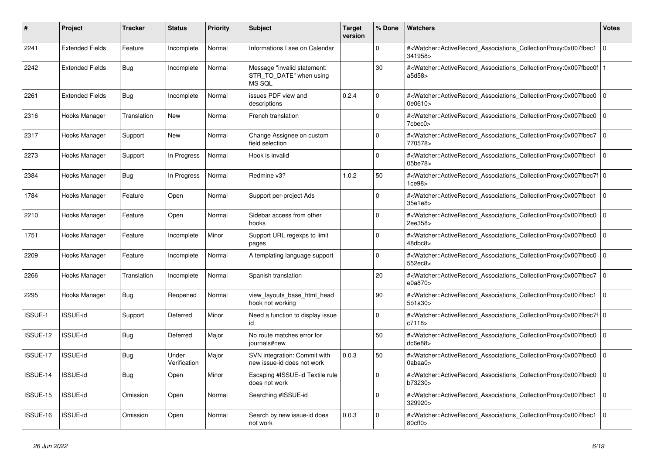| $\vert$ # | <b>Project</b>         | <b>Tracker</b> | <b>Status</b>         | <b>Priority</b> | <b>Subject</b>                                                   | <b>Target</b><br>version | % Done      | Watchers                                                                                                                                                                | <b>Votes</b>   |
|-----------|------------------------|----------------|-----------------------|-----------------|------------------------------------------------------------------|--------------------------|-------------|-------------------------------------------------------------------------------------------------------------------------------------------------------------------------|----------------|
| 2241      | <b>Extended Fields</b> | Feature        | Incomplete            | Normal          | Informations I see on Calendar                                   |                          | $\Omega$    | # <watcher::activerecord associations="" collectionproxy:0x007fbec1<br="">341958&gt;</watcher::activerecord>                                                            | 0              |
| 2242      | <b>Extended Fields</b> | <b>Bug</b>     | Incomplete            | Normal          | Message "invalid statement:<br>STR_TO_DATE" when using<br>MS SQL |                          | 30          | # <watcher::activerecord_associations_collectionproxy:0x007fbec0f<br>a5d58</watcher::activerecord_associations_collectionproxy:0x007fbec0f<br>                          |                |
| 2261      | <b>Extended Fields</b> | Bug            | Incomplete            | Normal          | issues PDF view and<br>descriptions                              | 0.2.4                    | $\Omega$    | # <watcher::activerecord_associations_collectionproxy:0x007fbec0<br>0e0610&gt;</watcher::activerecord_associations_collectionproxy:0x007fbec0<br>                       | $\overline{0}$ |
| 2316      | Hooks Manager          | Translation    | New                   | Normal          | French translation                                               |                          | $\mathbf 0$ | # <watcher::activerecord associations="" collectionproxy:0x007fbec0<br=""><math>7</math>cbec<math>0</math></watcher::activerecord>                                      | 0              |
| 2317      | Hooks Manager          | Support        | <b>New</b>            | Normal          | Change Assignee on custom<br>field selection                     |                          | $\Omega$    | # <watcher::activerecord_associations_collectionproxy:0x007fbec7<br>770578&gt;</watcher::activerecord_associations_collectionproxy:0x007fbec7<br>                       | $\overline{0}$ |
| 2273      | Hooks Manager          | Support        | In Progress           | Normal          | Hook is invalid                                                  |                          | $\Omega$    | # <watcher::activerecord associations="" collectionproxy:0x007fbec1<br="">05be78&gt;</watcher::activerecord>                                                            | $\overline{0}$ |
| 2384      | Hooks Manager          | <b>Bug</b>     | In Progress           | Normal          | Redmine v3?                                                      | 1.0.2                    | 50          | # <watcher::activerecord 0<br="" associations="" collectionproxy:0x007fbec7f=""  ="">1ce98</watcher::activerecord>                                                      |                |
| 1784      | Hooks Manager          | Feature        | Open                  | Normal          | Support per-project Ads                                          |                          | $\Omega$    | # <watcher::activerecord_associations_collectionproxy:0x007fbec1<br>35e1e8&gt;</watcher::activerecord_associations_collectionproxy:0x007fbec1<br>                       | $\overline{0}$ |
| 2210      | Hooks Manager          | Feature        | Open                  | Normal          | Sidebar access from other<br>hooks                               |                          | $\Omega$    | # <watcher::activerecord associations="" collectionproxy:0x007fbec0<br="">2ee358&gt;</watcher::activerecord>                                                            | $\overline{0}$ |
| 1751      | Hooks Manager          | Feature        | Incomplete            | Minor           | Support URL regexps to limit<br>pages                            |                          | $\mathbf 0$ | # <watcher::activerecord_associations_collectionproxy:0x007fbec0<br>48dbc8&gt;</watcher::activerecord_associations_collectionproxy:0x007fbec0<br>                       | 0              |
| 2209      | Hooks Manager          | Feature        | Incomplete            | Normal          | A templating language support                                    |                          | $\Omega$    | # <watcher::activerecord associations="" collectionproxy:0x007fbec0<br="">552ec8&gt;</watcher::activerecord>                                                            | $\overline{0}$ |
| 2266      | Hooks Manager          | Translation    | Incomplete            | Normal          | Spanish translation                                              |                          | 20          | # <watcher::activerecord associations="" collectionproxy:0x007fbec7<br="">e0a870&gt;</watcher::activerecord>                                                            | $\overline{0}$ |
| 2295      | Hooks Manager          | <b>Bug</b>     | Reopened              | Normal          | view_layouts_base_html_head<br>hook not working                  |                          | 90          | # <watcher::activerecord_associations_collectionproxy:0x007fbec1<br>5b1a30&gt;</watcher::activerecord_associations_collectionproxy:0x007fbec1<br>                       | 0              |
| ISSUE-1   | <b>ISSUE-id</b>        | Support        | Deferred              | Minor           | Need a function to display issue<br>id                           |                          | $\Omega$    | # <watcher::activerecord_associations_collectionproxy:0x007fbec7f 0<br=""  ="">c7118</watcher::activerecord_associations_collectionproxy:0x007fbec7f>                   |                |
| ISSUE-12  | ISSUE-id               | <b>Bug</b>     | Deferred              | Major           | No route matches error for<br>journals#new                       |                          | 50          | # <watcher::activerecord_associations_collectionproxy:0x007fbec0<br>dc6e88&gt;</watcher::activerecord_associations_collectionproxy:0x007fbec0<br>                       | $\overline{0}$ |
| ISSUE-17  | <b>ISSUE-id</b>        | <b>Bug</b>     | Under<br>Verification | Major           | SVN integration: Commit with<br>new issue-id does not work       | 0.0.3                    | 50          | # <watcher::activerecord_associations_collectionproxy:0x007fbec0<br><math>0</math>abaa<math>0</math></watcher::activerecord_associations_collectionproxy:0x007fbec0<br> | 0              |
| ISSUE-14  | ISSUE-id               | <b>Bug</b>     | Open                  | Minor           | Escaping #ISSUE-id Textile rule<br>does not work                 |                          | $\Omega$    | # <watcher::activerecord associations="" collectionproxy:0x007fbec0<br="">b73230&gt;</watcher::activerecord>                                                            | 0              |
| ISSUE-15  | ISSUE-id               | Omission       | Open                  | Normal          | Searching #ISSUE-id                                              |                          | $\Omega$    | # <watcher::activerecord_associations_collectionproxy:0x007fbec1<br>329920&gt;</watcher::activerecord_associations_collectionproxy:0x007fbec1<br>                       | $\overline{0}$ |
| ISSUE-16  | <b>ISSUE-id</b>        | Omission       | Open                  | Normal          | Search by new issue-id does<br>not work                          | 0.0.3                    | $\Omega$    | # <watcher::activerecord associations="" collectionproxy:0x007fbec1<br="">80cff0&gt;</watcher::activerecord>                                                            | $\overline{0}$ |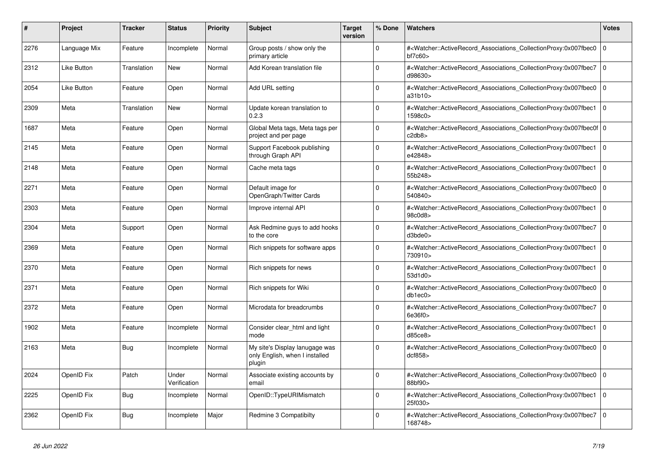| #    | <b>Project</b> | Tracker     | <b>Status</b>         | <b>Priority</b> | <b>Subject</b>                                                             | <b>Target</b><br>version | % Done   | <b>Watchers</b>                                                                                                                                          | <b>Votes</b> |
|------|----------------|-------------|-----------------------|-----------------|----------------------------------------------------------------------------|--------------------------|----------|----------------------------------------------------------------------------------------------------------------------------------------------------------|--------------|
| 2276 | Language Mix   | Feature     | Incomplete            | Normal          | Group posts / show only the<br>primary article                             |                          | $\Omega$ | # <watcher::activerecord 0<br="" associations="" collectionproxy:0x007fbec0=""  ="">bf7c60&gt;</watcher::activerecord>                                   |              |
| 2312 | Like Button    | Translation | New                   | Normal          | Add Korean translation file                                                |                          | $\Omega$ | # <watcher::activerecord associations="" collectionproxy:0x007fbec7<br="">d98630&gt;</watcher::activerecord>                                             | $\mathbf 0$  |
| 2054 | Like Button    | Feature     | Open                  | Normal          | Add URL setting                                                            |                          | $\Omega$ | # <watcher::activerecord_associations_collectionproxy:0x007fbec0 0<br=""  ="">a31b10</watcher::activerecord_associations_collectionproxy:0x007fbec0>     |              |
| 2309 | Meta           | Translation | New                   | Normal          | Update korean translation to<br>0.2.3                                      |                          | $\Omega$ | # <watcher::activerecord_associations_collectionproxy:0x007fbec1<br>1598c0&gt;</watcher::activerecord_associations_collectionproxy:0x007fbec1<br>        | $\Omega$     |
| 1687 | Meta           | Feature     | Open                  | Normal          | Global Meta tags, Meta tags per<br>project and per page                    |                          | $\Omega$ | # <watcher::activerecord 0<br="" associations="" collectionproxy:0x007fbec0f=""  ="">c2db8&gt;</watcher::activerecord>                                   |              |
| 2145 | Meta           | Feature     | Open                  | Normal          | Support Facebook publishing<br>through Graph API                           |                          | $\Omega$ | # <watcher::activerecord 0<br="" associations="" collectionproxy:0x007fbec1=""  ="">e42848&gt;</watcher::activerecord>                                   |              |
| 2148 | Meta           | Feature     | Open                  | Normal          | Cache meta tags                                                            |                          | $\Omega$ | # <watcher::activerecord associations="" collectionproxy:0x007fbec1<br="">55b248&gt;</watcher::activerecord>                                             | $\mathbf 0$  |
| 2271 | Meta           | Feature     | Open                  | Normal          | Default image for<br>OpenGraph/Twitter Cards                               |                          | $\Omega$ | # <watcher::activerecord associations="" collectionproxy:0x007fbec0<br="">540840&gt;</watcher::activerecord>                                             | $\Omega$     |
| 2303 | Meta           | Feature     | Open                  | Normal          | Improve internal API                                                       |                          | $\Omega$ | # <watcher::activerecord 0<br="" associations="" collectionproxy:0x007fbec1=""  ="">98c0d8&gt;</watcher::activerecord>                                   |              |
| 2304 | Meta           | Support     | Open                  | Normal          | Ask Redmine guys to add hooks<br>to the core                               |                          | $\Omega$ | # <watcher::activerecord associations="" collectionproxy:0x007fbec7<br="">d3bde0</watcher::activerecord>                                                 | $\mathbf 0$  |
| 2369 | Meta           | Feature     | Open                  | Normal          | Rich snippets for software apps                                            |                          | $\Omega$ | # <watcher::activerecord_associations_collectionproxy:0x007fbec1<br>730910&gt;</watcher::activerecord_associations_collectionproxy:0x007fbec1<br>        | $\Omega$     |
| 2370 | Meta           | Feature     | Open                  | Normal          | Rich snippets for news                                                     |                          | $\Omega$ | # <watcher::activerecord_associations_collectionproxy:0x007fbec1<br>53d1d0</watcher::activerecord_associations_collectionproxy:0x007fbec1<br>            | $\mathbf 0$  |
| 2371 | Meta           | Feature     | Open                  | Normal          | Rich snippets for Wiki                                                     |                          | $\Omega$ | # <watcher::activerecord_associations_collectionproxy:0x007fbec0<br>db1ec0</watcher::activerecord_associations_collectionproxy:0x007fbec0<br>            | $\mathbf 0$  |
| 2372 | Meta           | Feature     | Open                  | Normal          | Microdata for breadcrumbs                                                  |                          | $\Omega$ | # <watcher::activerecord 0<br="" associations="" collectionproxy:0x007fbec7=""  ="">6e36f0&gt;</watcher::activerecord>                                   |              |
| 1902 | Meta           | Feature     | Incomplete            | Normal          | Consider clear html and light<br>mode                                      |                          | $\Omega$ | # <watcher::activerecord_associations_collectionproxy:0x007fbec1<br>d85ce8</watcher::activerecord_associations_collectionproxy:0x007fbec1<br>            | $\Omega$     |
| 2163 | Meta           | Bug         | Incomplete            | Normal          | My site's Display lanugage was<br>only English, when I installed<br>plugin |                          | $\Omega$ | # <watcher::activerecord associations="" collectionproxy:0x007fbec0<br="">dcf858</watcher::activerecord>                                                 | $\mathbf 0$  |
| 2024 | OpenID Fix     | Patch       | Under<br>Verification | Normal          | Associate existing accounts by<br>email                                    |                          | $\Omega$ | # <watcher::activerecord_associations_collectionproxy:0x007fbec0 0<br=""  ="">88bf90&gt;</watcher::activerecord_associations_collectionproxy:0x007fbec0> |              |
| 2225 | OpenID Fix     | Bug         | Incomplete            | Normal          | OpenID::TypeURIMismatch                                                    |                          | $\Omega$ | # <watcher::activerecord_associations_collectionproxy:0x007fbec1<br>25f030&gt;</watcher::activerecord_associations_collectionproxy:0x007fbec1<br>        | $\mathbf 0$  |
| 2362 | OpenID Fix     | <b>Bug</b>  | Incomplete            | Major           | Redmine 3 Compatibilty                                                     |                          | $\Omega$ | # <watcher::activerecord associations="" collectionproxy:0x007fbec7<br="">168748&gt;</watcher::activerecord>                                             | $\Omega$     |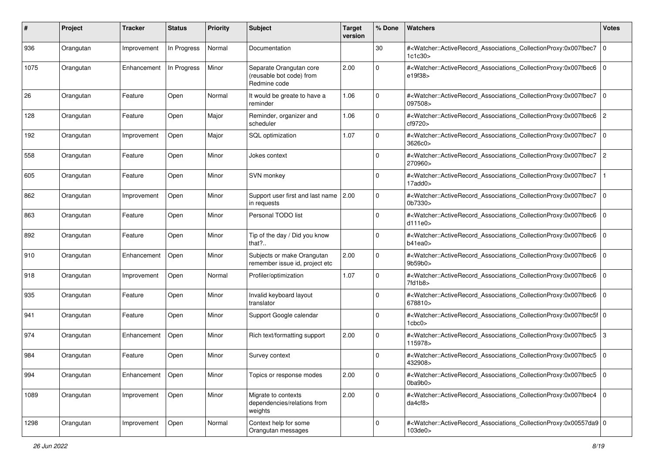| #    | Project   | <b>Tracker</b>     | <b>Status</b> | <b>Priority</b> | <b>Subject</b>                                                      | <b>Target</b><br>version | % Done      | Watchers                                                                                                                                                                            | <b>Votes</b>   |
|------|-----------|--------------------|---------------|-----------------|---------------------------------------------------------------------|--------------------------|-------------|-------------------------------------------------------------------------------------------------------------------------------------------------------------------------------------|----------------|
| 936  | Orangutan | Improvement        | In Progress   | Normal          | Documentation                                                       |                          | 30          | # <watcher::activerecord_associations_collectionproxy:0x007fbec7<br>1c1c30</watcher::activerecord_associations_collectionproxy:0x007fbec7<br>                                       | 0              |
| 1075 | Orangutan | Enhancement        | In Progress   | Minor           | Separate Orangutan core<br>(reusable bot code) from<br>Redmine code | 2.00                     | $\Omega$    | # <watcher::activerecord_associations_collectionproxy:0x007fbec6<br>e19f38&gt;</watcher::activerecord_associations_collectionproxy:0x007fbec6<br>                                   | l O            |
| 26   | Orangutan | Feature            | Open          | Normal          | It would be greate to have a<br>reminder                            | 1.06                     | $\Omega$    | # <watcher::activerecord_associations_collectionproxy:0x007fbec7<br>097508&gt;</watcher::activerecord_associations_collectionproxy:0x007fbec7<br>                                   | 0              |
| 128  | Orangutan | Feature            | Open          | Major           | Reminder, organizer and<br>scheduler                                | 1.06                     | 0           | # <watcher::activerecord_associations_collectionproxy:0x007fbec6<br>cf9720&gt;</watcher::activerecord_associations_collectionproxy:0x007fbec6<br>                                   | $\overline{2}$ |
| 192  | Orangutan | Improvement        | Open          | Major           | SQL optimization                                                    | 1.07                     | $\mathbf 0$ | # <watcher::activerecord_associations_collectionproxy:0x007fbec7<br>3626c0&gt;</watcher::activerecord_associations_collectionproxy:0x007fbec7<br>                                   | 0              |
| 558  | Orangutan | Feature            | Open          | Minor           | Jokes context                                                       |                          | $\Omega$    | # <watcher::activerecord_associations_collectionproxy:0x007fbec7<br>270960&gt;</watcher::activerecord_associations_collectionproxy:0x007fbec7<br>                                   | 2              |
| 605  | Orangutan | Feature            | Open          | Minor           | SVN monkey                                                          |                          | $\Omega$    | # <watcher::activerecord_associations_collectionproxy:0x007fbec7<br><math>17</math>add<math>0</math></watcher::activerecord_associations_collectionproxy:0x007fbec7<br>             |                |
| 862  | Orangutan | Improvement        | Open          | Minor           | Support user first and last name<br>in requests                     | 2.00                     | $\Omega$    | # <watcher::activerecord_associations_collectionproxy:0x007fbec7<br>0b7330&gt;</watcher::activerecord_associations_collectionproxy:0x007fbec7<br>                                   | 0              |
| 863  | Orangutan | Feature            | Open          | Minor           | Personal TODO list                                                  |                          | $\mathbf 0$ | # <watcher::activerecord_associations_collectionproxy:0x007fbec6<br>d111e0</watcher::activerecord_associations_collectionproxy:0x007fbec6<br>                                       | ۱o             |
| 892  | Orangutan | Feature            | Open          | Minor           | Tip of the day / Did you know<br>that?                              |                          | $\Omega$    | # <watcher::activerecord_associations_collectionproxy:0x007fbec6<br>b41ea0&gt;</watcher::activerecord_associations_collectionproxy:0x007fbec6<br>                                   | 0              |
| 910  | Orangutan | Enhancement        | Open          | Minor           | Subjects or make Orangutan<br>remember issue id, project etc        | 2.00                     | $\Omega$    | # <watcher::activerecord_associations_collectionproxy:0x007fbec6<br>9b59b0</watcher::activerecord_associations_collectionproxy:0x007fbec6<br>                                       | l 0            |
| 918  | Orangutan | Improvement        | Open          | Normal          | Profiler/optimization                                               | 1.07                     | $\Omega$    | # <watcher::activerecord_associations_collectionproxy:0x007fbec6<br>7fd1b8&gt;</watcher::activerecord_associations_collectionproxy:0x007fbec6<br>                                   | 0              |
| 935  | Orangutan | Feature            | Open          | Minor           | Invalid keyboard layout<br>translator                               |                          | $\Omega$    | # <watcher::activerecord_associations_collectionproxy:0x007fbec6 0<br=""  ="">678810&gt;</watcher::activerecord_associations_collectionproxy:0x007fbec6>                            |                |
| 941  | Orangutan | Feature            | Open          | Minor           | Support Google calendar                                             |                          | $\Omega$    | # <watcher::activerecord_associations_collectionproxy:0x007fbec5f 0<br=""  =""><math>1</math>cbc<math>0</math>&gt;</watcher::activerecord_associations_collectionproxy:0x007fbec5f> |                |
| 974  | Orangutan | Enhancement        | Open          | Minor           | Rich text/formatting support                                        | 2.00                     | $\Omega$    | # <watcher::activerecord_associations_collectionproxy:0x007fbec5<br>115978&gt;</watcher::activerecord_associations_collectionproxy:0x007fbec5<br>                                   | 3              |
| 984  | Orangutan | Feature            | Open          | Minor           | Survey context                                                      |                          | 0           | # <watcher::activerecord_associations_collectionproxy:0x007fbec5<br>432908&gt;</watcher::activerecord_associations_collectionproxy:0x007fbec5<br>                                   | $\overline{0}$ |
| 994  | Orangutan | Enhancement   Open |               | Minor           | Topics or response modes                                            | 2.00                     | 0           | # <watcher::activerecord 0<br="" associations="" collectionproxy:0x007fbec5=""><math>0</math>ba<math>9</math>b<math>0</math>&gt;</watcher::activerecord>                            |                |
| 1089 | Orangutan | Improvement        | Open          | Minor           | Migrate to contexts<br>dependencies/relations from<br>weights       | 2.00                     | $\mathbf 0$ | # <watcher::activerecord_associations_collectionproxy:0x007fbec4 0<br="">da4cf8</watcher::activerecord_associations_collectionproxy:0x007fbec4>                                     |                |
| 1298 | Orangutan | Improvement        | Open          | Normal          | Context help for some<br>Orangutan messages                         |                          | $\mathbf 0$ | # <watcher::activerecord_associations_collectionproxy:0x00557da9 0<br="">103de0</watcher::activerecord_associations_collectionproxy:0x00557da9>                                     |                |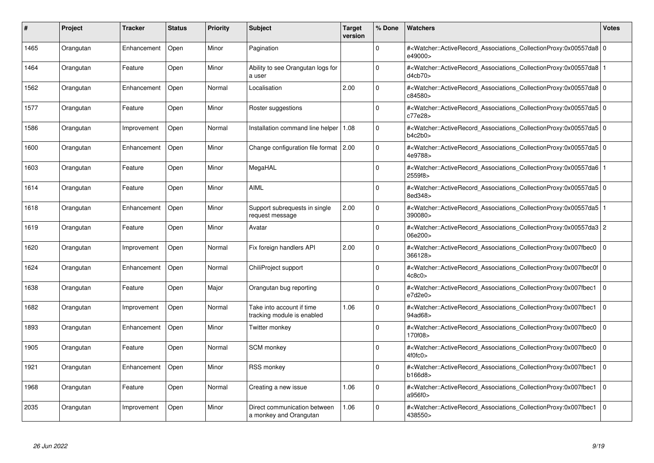| #    | Project   | <b>Tracker</b> | <b>Status</b> | <b>Priority</b> | <b>Subject</b>                                          | <b>Target</b><br>version | % Done      | <b>Watchers</b>                                                                                                                                     | <b>Votes</b> |
|------|-----------|----------------|---------------|-----------------|---------------------------------------------------------|--------------------------|-------------|-----------------------------------------------------------------------------------------------------------------------------------------------------|--------------|
| 1465 | Orangutan | Enhancement    | Open          | Minor           | Pagination                                              |                          | $\Omega$    | # <watcher::activerecord 0<br="" associations="" collectionproxy:0x00557da8=""  ="">e49000&gt;</watcher::activerecord>                              |              |
| 1464 | Orangutan | Feature        | Open          | Minor           | Ability to see Orangutan logs for<br>a user             |                          | $\Omega$    | # <watcher::activerecord_associations_collectionproxy:0x00557da8<br>d4cb70&gt;</watcher::activerecord_associations_collectionproxy:0x00557da8<br>   |              |
| 1562 | Orangutan | Enhancement    | Open          | Normal          | Localisation                                            | 2.00                     | $\Omega$    | # <watcher::activerecord 0<br="" associations="" collectionproxy:0x00557da8=""  ="">c84580&gt;</watcher::activerecord>                              |              |
| 1577 | Orangutan | Feature        | Open          | Minor           | Roster suggestions                                      |                          | $\Omega$    | # <watcher::activerecord 0<br="" associations="" collectionproxy:0x00557da5=""  ="">c77e28&gt;</watcher::activerecord>                              |              |
| 1586 | Orangutan | Improvement    | Open          | Normal          | Installation command line helper                        | 1.08                     | $\Omega$    | # <watcher::activerecord 0<br="" associations="" collectionproxy:0x00557da5=""  ="">b4c2b0</watcher::activerecord>                                  |              |
| 1600 | Orangutan | Enhancement    | Open          | Minor           | Change configuration file format   2.00                 |                          | $\Omega$    | # <watcher::activerecord 0<br="" associations="" collectionproxy:0x00557da5=""  ="">4e9788&gt;</watcher::activerecord>                              |              |
| 1603 | Orangutan | Feature        | Open          | Minor           | MegaHAL                                                 |                          | $\Omega$    | # <watcher::activerecord_associations_collectionproxy:0x00557da6<br>2559f8&gt;</watcher::activerecord_associations_collectionproxy:0x00557da6<br>   |              |
| 1614 | Orangutan | Feature        | Open          | Minor           | <b>AIML</b>                                             |                          | $\Omega$    | # <watcher::activerecord 0<br="" associations="" collectionproxy:0x00557da5=""  ="">8ed348&gt;</watcher::activerecord>                              |              |
| 1618 | Orangutan | Enhancement    | Open          | Minor           | Support subrequests in single<br>request message        | 2.00                     | $\Omega$    | # <watcher::activerecord_associations_collectionproxy:0x00557da5<br>390080&gt;</watcher::activerecord_associations_collectionproxy:0x00557da5<br>   |              |
| 1619 | Orangutan | Feature        | Open          | Minor           | Avatar                                                  |                          | $\Omega$    | # <watcher::activerecord_associations_collectionproxy:0x00557da3 2<br="">06e200&gt;</watcher::activerecord_associations_collectionproxy:0x00557da3> |              |
| 1620 | Orangutan | Improvement    | Open          | Normal          | Fix foreign handlers API                                | 2.00                     | $\Omega$    | # <watcher::activerecord 0<br="" associations="" collectionproxy:0x007fbec0=""  ="">366128&gt;</watcher::activerecord>                              |              |
| 1624 | Orangutan | Enhancement    | Open          | Normal          | ChiliProject support                                    |                          | $\Omega$    | # <watcher::activerecord 0<br="" associations="" collectionproxy:0x007fbec0f=""  ="">4c8c0</watcher::activerecord>                                  |              |
| 1638 | Orangutan | Feature        | Open          | Major           | Orangutan bug reporting                                 |                          | $\Omega$    | # <watcher::activerecord associations="" collectionproxy:0x007fbec1<br="">e7d2e0</watcher::activerecord>                                            | $\mathbf 0$  |
| 1682 | Orangutan | Improvement    | Open          | Normal          | Take into account if time<br>tracking module is enabled | 1.06                     | $\mathbf 0$ | # <watcher::activerecord_associations_collectionproxy:0x007fbec1<br>94ad68&gt;</watcher::activerecord_associations_collectionproxy:0x007fbec1<br>   | $\mathbf 0$  |
| 1893 | Orangutan | Enhancement    | Open          | Minor           | Twitter monkey                                          |                          | $\Omega$    | # <watcher::activerecord_associations_collectionproxy:0x007fbec0  <br="">170f08&gt;</watcher::activerecord_associations_collectionproxy:0x007fbec0> | $\mathbf 0$  |
| 1905 | Orangutan | Feature        | Open          | Normal          | SCM monkey                                              |                          | $\Omega$    | # <watcher::activerecord associations="" collectionproxy:0x007fbec0<br="">4f0fc0</watcher::activerecord>                                            | $\mathbf 0$  |
| 1921 | Orangutan | Enhancement    | Open          | Minor           | <b>RSS monkey</b>                                       |                          | $\Omega$    | # <watcher::activerecord associations="" collectionproxy:0x007fbec1<br="">b166d8&gt;</watcher::activerecord>                                        | $\Omega$     |
| 1968 | Orangutan | Feature        | Open          | Normal          | Creating a new issue                                    | 1.06                     | $\Omega$    | # <watcher::activerecord associations="" collectionproxy:0x007fbec1<br="">a956f0&gt;</watcher::activerecord>                                        | $\mathbf 0$  |
| 2035 | Orangutan | Improvement    | Open          | Minor           | Direct communication between<br>a monkey and Orangutan  | 1.06                     | $\Omega$    | # <watcher::activerecord associations="" collectionproxy:0x007fbec1<br="">438550&gt;</watcher::activerecord>                                        | $\Omega$     |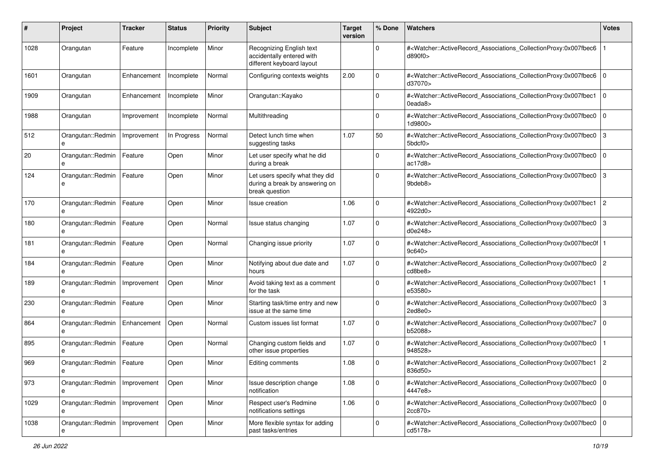| #    | Project                | <b>Tracker</b> | <b>Status</b> | <b>Priority</b> | <b>Subject</b>                                                                      | <b>Target</b><br>version | % Done      | Watchers                                                                                                                                                 | <b>Votes</b>   |
|------|------------------------|----------------|---------------|-----------------|-------------------------------------------------------------------------------------|--------------------------|-------------|----------------------------------------------------------------------------------------------------------------------------------------------------------|----------------|
| 1028 | Orangutan              | Feature        | Incomplete    | Minor           | Recognizing English text<br>accidentally entered with<br>different keyboard layout  |                          | $\Omega$    | # <watcher::activerecord_associations_collectionproxy:0x007fbec6<br>d890f0&gt;</watcher::activerecord_associations_collectionproxy:0x007fbec6<br>        |                |
| 1601 | Orangutan              | Enhancement    | Incomplete    | Normal          | Configuring contexts weights                                                        | 2.00                     | $\Omega$    | # <watcher::activerecord_associations_collectionproxy:0x007fbec6<br>d37070&gt;</watcher::activerecord_associations_collectionproxy:0x007fbec6<br>        | $\overline{0}$ |
| 1909 | Orangutan              | Enhancement    | Incomplete    | Minor           | Orangutan::Kayako                                                                   |                          | $\Omega$    | # <watcher::activerecord_associations_collectionproxy:0x007fbec1<br>0eada8&gt;</watcher::activerecord_associations_collectionproxy:0x007fbec1<br>        | l 0            |
| 1988 | Orangutan              | Improvement    | Incomplete    | Normal          | Multithreading                                                                      |                          | 0           | # <watcher::activerecord_associations_collectionproxy:0x007fbec0<br>1d9800&gt;</watcher::activerecord_associations_collectionproxy:0x007fbec0<br>        | $\overline{0}$ |
| 512  | Orangutan::Redmin<br>e | Improvement    | In Progress   | Normal          | Detect lunch time when<br>suggesting tasks                                          | 1.07                     | 50          | # <watcher::activerecord_associations_collectionproxy:0x007fbec0<br>5bdcf0&gt;</watcher::activerecord_associations_collectionproxy:0x007fbec0<br>        | $\overline{3}$ |
| 20   | Orangutan::Redmin<br>e | Feature        | Open          | Minor           | Let user specify what he did<br>during a break                                      |                          | $\Omega$    | # <watcher::activerecord_associations_collectionproxy:0x007fbec0<br>ac17d8</watcher::activerecord_associations_collectionproxy:0x007fbec0<br>            | $\overline{0}$ |
| 124  | Orangutan::Redmin      | Feature        | Open          | Minor           | Let users specify what they did<br>during a break by answering on<br>break question |                          | $\Omega$    | # <watcher::activerecord_associations_collectionproxy:0x007fbec0<br>9bdeb8&gt;</watcher::activerecord_associations_collectionproxy:0x007fbec0<br>        | $\mathsf{I}3$  |
| 170  | Orangutan::Redmin      | Feature        | Open          | Minor           | Issue creation                                                                      | 1.06                     | $\Omega$    | # <watcher::activerecord_associations_collectionproxy:0x007fbec1<br>4922d0&gt;</watcher::activerecord_associations_collectionproxy:0x007fbec1<br>        | $\overline{2}$ |
| 180  | Orangutan::Redmin      | Feature        | Open          | Normal          | Issue status changing                                                               | 1.07                     | $\Omega$    | # <watcher::activerecord_associations_collectionproxy:0x007fbec0<br>d0e248&gt;</watcher::activerecord_associations_collectionproxy:0x007fbec0<br>        | $\overline{3}$ |
| 181  | Orangutan::Redmin<br>e | Feature        | Open          | Normal          | Changing issue priority                                                             | 1.07                     | $\Omega$    | # <watcher::activerecord_associations_collectionproxy:0x007fbec0f 1<br=""  ="">9c640</watcher::activerecord_associations_collectionproxy:0x007fbec0f>    |                |
| 184  | Orangutan::Redmin<br>e | Feature        | Open          | Minor           | Notifying about due date and<br>hours                                               | 1.07                     | $\Omega$    | # <watcher::activerecord_associations_collectionproxy:0x007fbec0<br>cd8be8&gt;</watcher::activerecord_associations_collectionproxy:0x007fbec0<br>        | $ 2\rangle$    |
| 189  | Orangutan::Redmin<br>e | Improvement    | Open          | Minor           | Avoid taking text as a comment<br>for the task                                      |                          | $\Omega$    | # <watcher::activerecord_associations_collectionproxy:0x007fbec1<br>e53580&gt;</watcher::activerecord_associations_collectionproxy:0x007fbec1<br>        |                |
| 230  | Orangutan::Redmin<br>e | Feature        | Open          | Minor           | Starting task/time entry and new<br>issue at the same time                          |                          | $\Omega$    | # <watcher::activerecord_associations_collectionproxy:0x007fbec0<br>2ed8e0&gt;</watcher::activerecord_associations_collectionproxy:0x007fbec0<br>        | $\overline{3}$ |
| 864  | Orangutan::Redmin<br>e | Enhancement    | Open          | Normal          | Custom issues list format                                                           | 1.07                     | $\mathbf 0$ | # <watcher::activerecord_associations_collectionproxy:0x007fbec7<br>b52088&gt;</watcher::activerecord_associations_collectionproxy:0x007fbec7<br>        | $\overline{0}$ |
| 895  | Orangutan::Redmin      | Feature        | Open          | Normal          | Changing custom fields and<br>other issue properties                                | 1.07                     | $\Omega$    | # <watcher::activerecord_associations_collectionproxy:0x007fbec0<br>948528&gt;</watcher::activerecord_associations_collectionproxy:0x007fbec0<br>        |                |
| 969  | Orangutan::Redmin<br>е | Feature        | Open          | Minor           | Editing comments                                                                    | 1.08                     | $\Omega$    | # <watcher::activerecord_associations_collectionproxy:0x007fbec1 2<br="">836d50&gt;</watcher::activerecord_associations_collectionproxy:0x007fbec1>      |                |
| 973  | Orangutan::Redmin<br>е | Improvement    | Open          | Minor           | Issue description change<br>notification                                            | 1.08                     | $\mathbf 0$ | # <watcher::activerecord_associations_collectionproxy:0x007fbec0 0<br="">4447e8&gt;</watcher::activerecord_associations_collectionproxy:0x007fbec0>      |                |
| 1029 | Orangutan::Redmin<br>e | Improvement    | Open          | Minor           | Respect user's Redmine<br>notifications settings                                    | 1.06                     | $\mathbf 0$ | # <watcher::activerecord 0<br="" associations="" collectionproxy:0x007fbec0="">2cc870&gt;</watcher::activerecord>                                        |                |
| 1038 | Orangutan::Redmin      | Improvement    | Open          | Minor           | More flexible syntax for adding<br>past tasks/entries                               |                          | $\Omega$    | # <watcher::activerecord_associations_collectionproxy:0x007fbec0 0<br=""  ="">cd5178&gt;</watcher::activerecord_associations_collectionproxy:0x007fbec0> |                |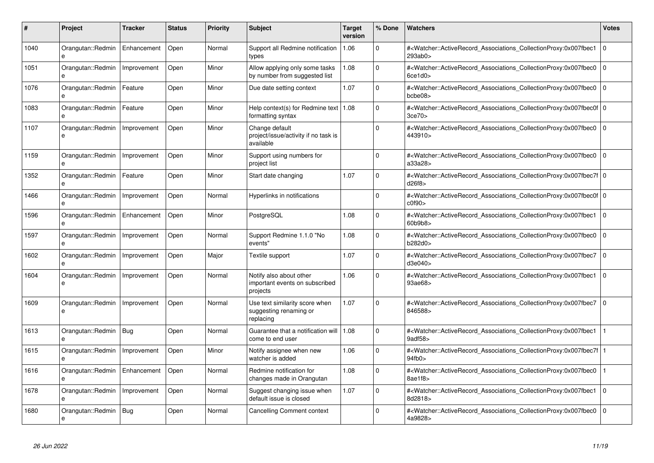| #    | Project                | Tracker     | <b>Status</b> | <b>Priority</b> | <b>Subject</b>                                                        | <b>Target</b><br>version | % Done       | <b>Watchers</b>                                                                                                                                            | <b>Votes</b>   |
|------|------------------------|-------------|---------------|-----------------|-----------------------------------------------------------------------|--------------------------|--------------|------------------------------------------------------------------------------------------------------------------------------------------------------------|----------------|
| 1040 | Orangutan::Redmin<br>e | Enhancement | Open          | Normal          | Support all Redmine notification<br>types                             | 1.06                     | $\Omega$     | # <watcher::activerecord_associations_collectionproxy:0x007fbec1<br>293ab0&gt;</watcher::activerecord_associations_collectionproxy:0x007fbec1<br>          | $\Omega$       |
| 1051 | Orangutan::Redmin<br>e | Improvement | Open          | Minor           | Allow applying only some tasks<br>by number from suggested list       | 1.08                     | $\Omega$     | # <watcher::activerecord associations="" collectionproxy:0x007fbec0<br="">6ce1d0</watcher::activerecord>                                                   | $\Omega$       |
| 1076 | Orangutan::Redmin<br>e | Feature     | Open          | Minor           | Due date setting context                                              | 1.07                     | $\mathbf 0$  | # <watcher::activerecord associations="" collectionproxy:0x007fbec0<br="">bcbe08&gt;</watcher::activerecord>                                               | l o            |
| 1083 | Orangutan::Redmin<br>e | Feature     | Open          | Minor           | Help context(s) for Redmine text   $1.08$<br>formatting syntax        |                          | $\mathbf{0}$ | # <watcher::activerecord_associations_collectionproxy:0x007fbec0f 0<br=""  ="">3ce70</watcher::activerecord_associations_collectionproxy:0x007fbec0f>      |                |
| 1107 | Orangutan::Redmin<br>e | Improvement | Open          | Minor           | Change default<br>project/issue/activity if no task is<br>available   |                          | $\Omega$     | # <watcher::activerecord associations="" collectionproxy:0x007fbec0<br="">443910&gt;</watcher::activerecord>                                               | $\Omega$       |
| 1159 | Orangutan::Redmin      | Improvement | Open          | Minor           | Support using numbers for<br>project list                             |                          | $\Omega$     | # <watcher::activerecord_associations_collectionproxy:0x007fbec0<br>a33a28&gt;</watcher::activerecord_associations_collectionproxy:0x007fbec0<br>          | $\Omega$       |
| 1352 | Orangutan::Redmin<br>e | Feature     | Open          | Minor           | Start date changing                                                   | 1.07                     | $\Omega$     | # <watcher::activerecord_associations_collectionproxy:0x007fbec7f 0<br=""  ="">d26f8</watcher::activerecord_associations_collectionproxy:0x007fbec7f>      |                |
| 1466 | Orangutan::Redmin<br>e | Improvement | Open          | Normal          | Hyperlinks in notifications                                           |                          | $\Omega$     | # <watcher::activerecord 0<br="" associations="" collectionproxy:0x007fbec0f=""  ="">c0f90</watcher::activerecord>                                         |                |
| 1596 | Orangutan::Redmin<br>e | Enhancement | Open          | Minor           | PostgreSQL                                                            | 1.08                     | $\mathbf{0}$ | # <watcher::activerecord associations="" collectionproxy:0x007fbec1<br="">60b9b8&gt;</watcher::activerecord>                                               | $\overline{0}$ |
| 1597 | Orangutan::Redmin<br>e | Improvement | Open          | Normal          | Support Redmine 1.1.0 "No<br>events"                                  | 1.08                     | $\mathbf 0$  | # <watcher::activerecord associations="" collectionproxy:0x007fbec0<br="">b282d0&gt;</watcher::activerecord>                                               | $\mathbf 0$    |
| 1602 | Orangutan::Redmin<br>e | Improvement | Open          | Major           | Textile support                                                       | 1.07                     | $\mathbf 0$  | # <watcher::activerecord associations="" collectionproxy:0x007fbec7<br="">d3e040&gt;</watcher::activerecord>                                               | $\Omega$       |
| 1604 | Orangutan::Redmin      | Improvement | Open          | Normal          | Notify also about other<br>important events on subscribed<br>projects | 1.06                     | $\Omega$     | # <watcher::activerecord associations="" collectionproxy:0x007fbec1<br="">93ae68&gt;</watcher::activerecord>                                               | l o            |
| 1609 | Orangutan::Redmin<br>e | Improvement | Open          | Normal          | Use text similarity score when<br>suggesting renaming or<br>replacing | 1.07                     | $\Omega$     | # <watcher::activerecord_associations_collectionproxy:0x007fbec7<br>846588&gt;</watcher::activerecord_associations_collectionproxy:0x007fbec7<br>          | $\overline{0}$ |
| 1613 | Orangutan::Redmin<br>e | Bug         | Open          | Normal          | Guarantee that a notification will<br>come to end user                | 1.08                     | $\Omega$     | # <watcher::activerecord_associations_collectionproxy:0x007fbec1<br>9adf58&gt;</watcher::activerecord_associations_collectionproxy:0x007fbec1<br>          |                |
| 1615 | Orangutan::Redmin      | Improvement | Open          | Minor           | Notify assignee when new<br>watcher is added                          | 1.06                     | $\Omega$     | # <watcher::activerecord_associations_collectionproxy:0x007fbec7f 1<br=""  ="">94fb0 &gt;</watcher::activerecord_associations_collectionproxy:0x007fbec7f> |                |
| 1616 | Orangutan::Redmin      | Enhancement | Open          | Normal          | Redmine notification for<br>changes made in Orangutan                 | 1.08                     | $\Omega$     | # <watcher::activerecord_associations_collectionproxy:0x007fbec0<br>8ae1f8&gt;</watcher::activerecord_associations_collectionproxy:0x007fbec0<br>          |                |
| 1678 | Orangutan::Redmin<br>e | Improvement | Open          | Normal          | Suggest changing issue when<br>default issue is closed                | 1.07                     | $\Omega$     | # <watcher::activerecord_associations_collectionproxy:0x007fbec1<br>8d2818&gt;</watcher::activerecord_associations_collectionproxy:0x007fbec1<br>          | l O            |
| 1680 | Orangutan::Redmin<br>e | <b>Bug</b>  | Open          | Normal          | <b>Cancelling Comment context</b>                                     |                          | $\Omega$     | # <watcher::activerecord_associations_collectionproxy:0x007fbec0<br>4a9828&gt;</watcher::activerecord_associations_collectionproxy:0x007fbec0<br>          | $\Omega$       |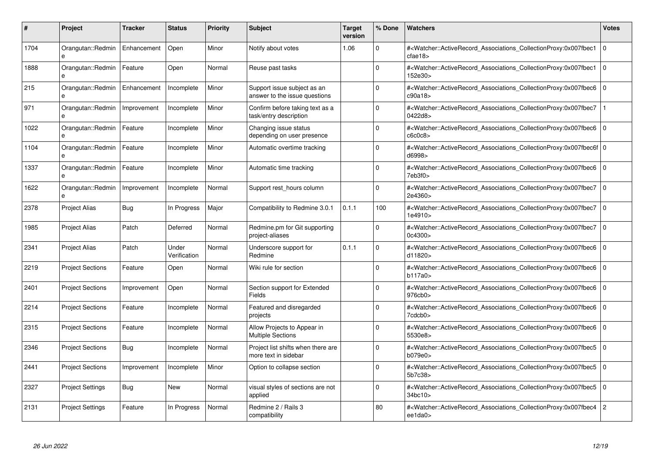| #    | Project                           | Tracker     | <b>Status</b>         | <b>Priority</b> | <b>Subject</b>                                               | <b>Target</b><br>version | % Done   | <b>Watchers</b>                                                                                                                                              | <b>Votes</b> |
|------|-----------------------------------|-------------|-----------------------|-----------------|--------------------------------------------------------------|--------------------------|----------|--------------------------------------------------------------------------------------------------------------------------------------------------------------|--------------|
| 1704 | Orangutan::Redmin<br>e            | Enhancement | Open                  | Minor           | Notify about votes                                           | 1.06                     | $\Omega$ | # <watcher::activerecord_associations_collectionproxy:0x007fbec1<br>cfae18</watcher::activerecord_associations_collectionproxy:0x007fbec1<br>                | $\Omega$     |
| 1888 | Orangutan::Redmin<br>e            | Feature     | Open                  | Normal          | Reuse past tasks                                             |                          | $\Omega$ | # <watcher::activerecord_associations_collectionproxy:0x007fbec1 0<br="">152e30&gt;</watcher::activerecord_associations_collectionproxy:0x007fbec1>          |              |
| 215  | Orangutan::Redmin<br>e            | Enhancement | Incomplete            | Minor           | Support issue subject as an<br>answer to the issue questions |                          | $\Omega$ | # <watcher::activerecord_associations_collectionproxy:0x007fbec6<br>c90a18</watcher::activerecord_associations_collectionproxy:0x007fbec6<br>                | $\mathbf 0$  |
| 971  | Orangutan::Redmin<br>e            | Improvement | Incomplete            | Minor           | Confirm before taking text as a<br>task/entry description    |                          | $\Omega$ | # <watcher::activerecord_associations_collectionproxy:0x007fbec7<br>0422d8&gt;</watcher::activerecord_associations_collectionproxy:0x007fbec7<br>            |              |
| 1022 | Orangutan::Redmin                 | Feature     | Incomplete            | Minor           | Changing issue status<br>depending on user presence          |                          | $\Omega$ | # <watcher::activerecord_associations_collectionproxy:0x007fbec6 0<br="">c6c0c8</watcher::activerecord_associations_collectionproxy:0x007fbec6>              |              |
| 1104 | Orangutan::Redmin<br>e            | Feature     | Incomplete            | Minor           | Automatic overtime tracking                                  |                          | $\Omega$ | # <watcher::activerecord 0<br="" associations="" collectionproxy:0x007fbec6f=""  ="">d6998&gt;</watcher::activerecord>                                       |              |
| 1337 | Orangutan::Redmin                 | Feature     | Incomplete            | Minor           | Automatic time tracking                                      |                          | $\Omega$ | # <watcher::activerecord_associations_collectionproxy:0x007fbec6 0<br=""  ="">7eb3f0&gt;</watcher::activerecord_associations_collectionproxy:0x007fbec6>     |              |
| 1622 | Orangutan::Redmin<br>$\mathbf{e}$ | Improvement | Incomplete            | Normal          | Support rest_hours column                                    |                          | $\Omega$ | # <watcher::activerecord_associations_collectionproxy:0x007fbec7 0<br=""  ="">2e4360&gt;</watcher::activerecord_associations_collectionproxy:0x007fbec7>     |              |
| 2378 | <b>Project Alias</b>              | Bug         | In Progress           | Major           | Compatibility to Redmine 3.0.1                               | 0.1.1                    | 100      | # <watcher::activerecord associations="" collectionproxy:0x007fbec7<br="">1e4910&gt;</watcher::activerecord>                                                 | $\mathbf 0$  |
| 1985 | <b>Project Alias</b>              | Patch       | Deferred              | Normal          | Redmine.pm for Git supporting<br>project-aliases             |                          | $\Omega$ | # <watcher::activerecord associations="" collectionproxy:0x007fbec7<br="">0c4300&gt;</watcher::activerecord>                                                 | l 0          |
| 2341 | <b>Project Alias</b>              | Patch       | Under<br>Verification | Normal          | Underscore support for<br>Redmine                            | 0.1.1                    | $\Omega$ | # <watcher::activerecord_associations_collectionproxy:0x007fbec6 0<br=""  ="">d11820&gt;</watcher::activerecord_associations_collectionproxy:0x007fbec6>     |              |
| 2219 | <b>Project Sections</b>           | Feature     | Open                  | Normal          | Wiki rule for section                                        |                          | $\Omega$ | # <watcher::activerecord_associations_collectionproxy:0x007fbec6 0<br=""  ="">b117a0&gt;</watcher::activerecord_associations_collectionproxy:0x007fbec6>     |              |
| 2401 | <b>Project Sections</b>           | Improvement | Open                  | Normal          | Section support for Extended<br>Fields                       |                          | $\Omega$ | # <watcher::activerecord 0<br="" associations="" collectionproxy:0x007fbec6=""  ="">976cb0&gt;</watcher::activerecord>                                       |              |
| 2214 | <b>Project Sections</b>           | Feature     | Incomplete            | Normal          | Featured and disregarded<br>projects                         |                          | 0        | # <watcher::activerecord_associations_collectionproxy:0x007fbec6<br>7cdcb0<sub>&gt;</sub></watcher::activerecord_associations_collectionproxy:0x007fbec6<br> | $\mathbf 0$  |
| 2315 | <b>Project Sections</b>           | Feature     | Incomplete            | Normal          | Allow Projects to Appear in<br><b>Multiple Sections</b>      |                          | $\Omega$ | # <watcher::activerecord_associations_collectionproxy:0x007fbec6 0<br=""  ="">5530e8&gt;</watcher::activerecord_associations_collectionproxy:0x007fbec6>     |              |
| 2346 | <b>Project Sections</b>           | Bug         | Incomplete            | Normal          | Project list shifts when there are<br>more text in sidebar   |                          | $\Omega$ | # <watcher::activerecord associations="" collectionproxy:0x007fbec5<br="">b079e0</watcher::activerecord>                                                     | $\mathbf 0$  |
| 2441 | <b>Project Sections</b>           | Improvement | Incomplete            | Minor           | Option to collapse section                                   |                          | $\Omega$ | # <watcher::activerecord associations="" collectionproxy:0x007fbec5=""  <br="">5b7c38&gt;</watcher::activerecord>                                            | $\mathbf 0$  |
| 2327 | <b>Project Settings</b>           | <b>Bug</b>  | <b>New</b>            | Normal          | visual styles of sections are not<br>applied                 |                          | $\Omega$ | # <watcher::activerecord_associations_collectionproxy:0x007fbec5<br>34bc10&gt;</watcher::activerecord_associations_collectionproxy:0x007fbec5<br>            | $\mathbf{0}$ |
| 2131 | <b>Project Settings</b>           | Feature     | In Progress           | Normal          | Redmine 2 / Rails 3<br>compatibility                         |                          | 80       | # <watcher::activerecord_associations_collectionproxy:0x007fbec4 2<br="">ee1da0&gt;</watcher::activerecord_associations_collectionproxy:0x007fbec4>          |              |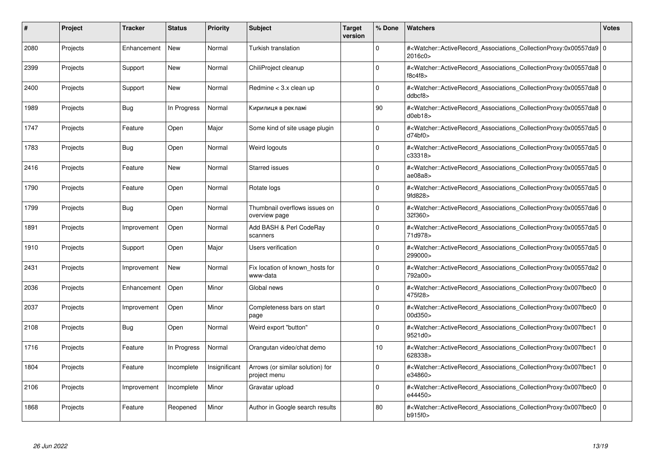| #    | <b>Project</b> | <b>Tracker</b> | <b>Status</b> | <b>Priority</b> | <b>Subject</b>                                   | Target<br>version | % Done      | <b>Watchers</b>                                                                                                                                          | <b>Votes</b> |
|------|----------------|----------------|---------------|-----------------|--------------------------------------------------|-------------------|-------------|----------------------------------------------------------------------------------------------------------------------------------------------------------|--------------|
| 2080 | Projects       | Enhancement    | <b>New</b>    | Normal          | Turkish translation                              |                   | $\Omega$    | # <watcher::activerecord 0<br="" associations="" collectionproxy:0x00557da9=""  ="">2016c0&gt;</watcher::activerecord>                                   |              |
| 2399 | Projects       | Support        | <b>New</b>    | Normal          | ChiliProject cleanup                             |                   | $\Omega$    | # <watcher::activerecord_associations_collectionproxy:0x00557da8 0<br=""  ="">f8c4f8</watcher::activerecord_associations_collectionproxy:0x00557da8>     |              |
| 2400 | Projects       | Support        | <b>New</b>    | Normal          | Redmine < 3.x clean up                           |                   | $\Omega$    | # <watcher::activerecord_associations_collectionproxy:0x00557da8 0<br=""  ="">ddbcf8</watcher::activerecord_associations_collectionproxy:0x00557da8>     |              |
| 1989 | Projects       | Bug            | In Progress   | Normal          | Кирилиця в рекламі                               |                   | 90          | # <watcher::activerecord_associations_collectionproxy:0x00557da8 0<br=""  ="">d0eb18&gt;</watcher::activerecord_associations_collectionproxy:0x00557da8> |              |
| 1747 | Projects       | Feature        | Open          | Major           | Some kind of site usage plugin                   |                   | $\Omega$    | # <watcher::activerecord 0<br="" associations="" collectionproxy:0x00557da5=""  ="">d74bf0</watcher::activerecord>                                       |              |
| 1783 | Projects       | Bug            | Open          | Normal          | Weird logouts                                    |                   | $\Omega$    | # <watcher::activerecord 0<br="" associations="" collectionproxy:0x00557da5=""  ="">c33318&gt;</watcher::activerecord>                                   |              |
| 2416 | Projects       | Feature        | <b>New</b>    | Normal          | <b>Starred issues</b>                            |                   | $\Omega$    | # <watcher::activerecord_associations_collectionproxy:0x00557da5 0<br=""  ="">ae08a8</watcher::activerecord_associations_collectionproxy:0x00557da5>     |              |
| 1790 | Projects       | Feature        | Open          | Normal          | Rotate logs                                      |                   | $\Omega$    | # <watcher::activerecord_associations_collectionproxy:0x00557da5 0<br=""  ="">9fd828&gt;</watcher::activerecord_associations_collectionproxy:0x00557da5> |              |
| 1799 | Projects       | Bug            | Open          | Normal          | Thumbnail overflows issues on<br>overview page   |                   | $\Omega$    | # <watcher::activerecord 0<br="" associations="" collectionproxy:0x00557da6=""  ="">32f360&gt;</watcher::activerecord>                                   |              |
| 1891 | Projects       | Improvement    | Open          | Normal          | Add BASH & Perl CodeRay<br>scanners              |                   | $\Omega$    | # <watcher::activerecord 0<br="" associations="" collectionproxy:0x00557da5=""  ="">71d978&gt;</watcher::activerecord>                                   |              |
| 1910 | Projects       | Support        | Open          | Major           | <b>Users verification</b>                        |                   | $\Omega$    | # <watcher::activerecord_associations_collectionproxy:0x00557da5 0<br=""  ="">299000&gt;</watcher::activerecord_associations_collectionproxy:0x00557da5> |              |
| 2431 | Projects       | Improvement    | <b>New</b>    | Normal          | Fix location of known hosts for<br>www-data      |                   | $\Omega$    | # <watcher::activerecord_associations_collectionproxy:0x00557da2 0<br=""  ="">792a00&gt;</watcher::activerecord_associations_collectionproxy:0x00557da2> |              |
| 2036 | Projects       | Enhancement    | Open          | Minor           | Global news                                      |                   | $\mathbf 0$ | # <watcher::activerecord associations="" collectionproxy:0x007fbec0<br="">475f28&gt;</watcher::activerecord>                                             | 0            |
| 2037 | Projects       | Improvement    | Open          | Minor           | Completeness bars on start<br>page               |                   | $\mathbf 0$ | # <watcher::activerecord_associations_collectionproxy:0x007fbec0<br>00d350&gt;</watcher::activerecord_associations_collectionproxy:0x007fbec0<br>        | $\mathbf 0$  |
| 2108 | Projects       | <b>Bug</b>     | Open          | Normal          | Weird export "button"                            |                   | $\Omega$    | # <watcher::activerecord_associations_collectionproxy:0x007fbec1<br>9521d0&gt;</watcher::activerecord_associations_collectionproxy:0x007fbec1<br>        | l O          |
| 1716 | Projects       | Feature        | In Progress   | Normal          | Orangutan video/chat demo                        |                   | 10          | # <watcher::activerecord associations="" collectionproxy:0x007fbec1<br="">628338&gt;</watcher::activerecord>                                             | $\Omega$     |
| 1804 | Projects       | Feature        | Incomplete    | Insignificant   | Arrows (or similar solution) for<br>project menu |                   | $\Omega$    | # <watcher::activerecord associations="" collectionproxy:0x007fbec1<br="">e34860&gt;</watcher::activerecord>                                             | l O          |
| 2106 | Projects       | Improvement    | Incomplete    | Minor           | Gravatar upload                                  |                   | $\Omega$    | # <watcher::activerecord associations="" collectionproxy:0x007fbec0<br="">e44450&gt;</watcher::activerecord>                                             | $\mathbf 0$  |
| 1868 | Projects       | Feature        | Reopened      | Minor           | Author in Google search results                  |                   | 80          | # <watcher::activerecord_associations_collectionproxy:0x007fbec0<br>b915f0&gt;</watcher::activerecord_associations_collectionproxy:0x007fbec0<br>        | $\Omega$     |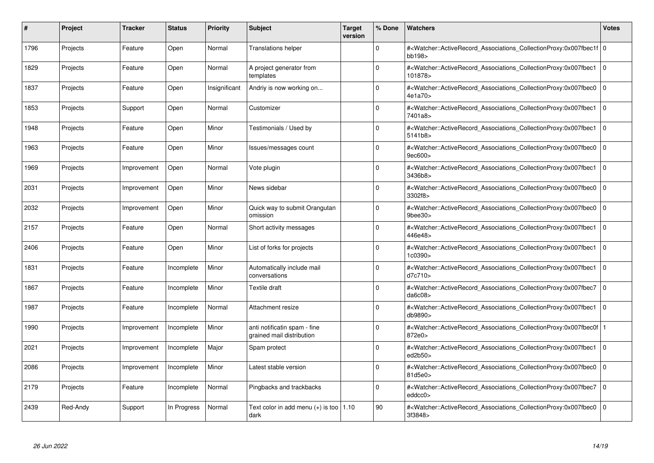| #    | Project  | <b>Tracker</b> | <b>Status</b> | <b>Priority</b> | <b>Subject</b>                                            | Target<br>version | % Done      | <b>Watchers</b>                                                                                                                                           | <b>Votes</b>   |
|------|----------|----------------|---------------|-----------------|-----------------------------------------------------------|-------------------|-------------|-----------------------------------------------------------------------------------------------------------------------------------------------------------|----------------|
| 1796 | Projects | Feature        | Open          | Normal          | <b>Translations helper</b>                                |                   | $\Omega$    | # <watcher::activerecord_associations_collectionproxy:0x007fbec1f 0<br=""  ="">bb198&gt;</watcher::activerecord_associations_collectionproxy:0x007fbec1f> |                |
| 1829 | Projects | Feature        | Open          | Normal          | A project generator from<br>templates                     |                   | $\Omega$    | # <watcher::activerecord associations="" collectionproxy:0x007fbec1<br="">101878&gt;</watcher::activerecord>                                              | l O            |
| 1837 | Projects | Feature        | Open          | Insignificant   | Andriy is now working on                                  |                   | $\Omega$    | # <watcher::activerecord_associations_collectionproxy:0x007fbec0<br>4e1a70&gt;</watcher::activerecord_associations_collectionproxy:0x007fbec0<br>         | $\mathbf 0$    |
| 1853 | Projects | Support        | Open          | Normal          | Customizer                                                |                   | $\Omega$    | # <watcher::activerecord_associations_collectionproxy:0x007fbec1<br>7401a8&gt;</watcher::activerecord_associations_collectionproxy:0x007fbec1<br>         | l o            |
| 1948 | Projects | Feature        | Open          | Minor           | Testimonials / Used by                                    |                   | $\Omega$    | # <watcher::activerecord associations="" collectionproxy:0x007fbec1<br="">5141b8&gt;</watcher::activerecord>                                              | $\Omega$       |
| 1963 | Projects | Feature        | Open          | Minor           | Issues/messages count                                     |                   | $\Omega$    | # <watcher::activerecord associations="" collectionproxy:0x007fbec0<br="">9ec600&gt;</watcher::activerecord>                                              | $\Omega$       |
| 1969 | Projects | Improvement    | Open          | Normal          | Vote plugin                                               |                   | $\Omega$    | # <watcher::activerecord_associations_collectionproxy:0x007fbec1<br>3436b8&gt;</watcher::activerecord_associations_collectionproxy:0x007fbec1<br>         | 0              |
| 2031 | Projects | Improvement    | Open          | Minor           | News sidebar                                              |                   | $\Omega$    | # <watcher::activerecord_associations_collectionproxy:0x007fbec0<br>3302f8&gt;</watcher::activerecord_associations_collectionproxy:0x007fbec0<br>         | $\Omega$       |
| 2032 | Projects | Improvement    | Open          | Minor           | Quick way to submit Orangutan<br>omission                 |                   | $\Omega$    | # <watcher::activerecord associations="" collectionproxy:0x007fbec0<br=""><math>9</math>bee<math>30</math></watcher::activerecord>                        | $\overline{0}$ |
| 2157 | Projects | Feature        | Open          | Normal          | Short activity messages                                   |                   | $\mathbf 0$ | # <watcher::activerecord associations="" collectionproxy:0x007fbec1<br="">446e48&gt;</watcher::activerecord>                                              | l o            |
| 2406 | Projects | Feature        | Open          | Minor           | List of forks for projects                                |                   | $\Omega$    | # <watcher::activerecord_associations_collectionproxy:0x007fbec1<br>1c0390&gt;</watcher::activerecord_associations_collectionproxy:0x007fbec1<br>         | $\overline{0}$ |
| 1831 | Projects | Feature        | Incomplete    | Minor           | Automatically include mail<br>conversations               |                   | $\Omega$    | # <watcher::activerecord_associations_collectionproxy:0x007fbec1<br>d7c710&gt;</watcher::activerecord_associations_collectionproxy:0x007fbec1<br>         | $\overline{0}$ |
| 1867 | Projects | Feature        | Incomplete    | Minor           | Textile draft                                             |                   | $\mathbf 0$ | # <watcher::activerecord associations="" collectionproxy:0x007fbec7<br="">da6c08<sub>&gt;</sub></watcher::activerecord>                                   | 0              |
| 1987 | Projects | Feature        | Incomplete    | Normal          | Attachment resize                                         |                   | $\Omega$    | # <watcher::activerecord_associations_collectionproxy:0x007fbec1<br>db9890&gt;</watcher::activerecord_associations_collectionproxy:0x007fbec1<br>         | 0              |
| 1990 | Projects | Improvement    | Incomplete    | Minor           | anti notificatin spam - fine<br>grained mail distribution |                   | $\Omega$    | # <watcher::activerecord_associations_collectionproxy:0x007fbec0f 1<br=""  ="">872e0&gt;</watcher::activerecord_associations_collectionproxy:0x007fbec0f> |                |
| 2021 | Projects | Improvement    | Incomplete    | Major           | Spam protect                                              |                   | O           | # <watcher::activerecord associations="" collectionproxy:0x007fbec1<br="">ed2b50&gt;</watcher::activerecord>                                              | $\Omega$       |
| 2086 | Projects | Improvement    | Incomplete    | Minor           | Latest stable version                                     |                   | $\Omega$    | # <watcher::activerecord associations="" collectionproxy:0x007fbec0<br="">81d5e0&gt;</watcher::activerecord>                                              | l 0            |
| 2179 | Projects | Feature        | Incomplete    | Normal          | Pingbacks and trackbacks                                  |                   | $\Omega$    | # <watcher::activerecord associations="" collectionproxy:0x007fbec7<br="">eddcc0&gt;</watcher::activerecord>                                              | 0              |
| 2439 | Red-Andy | Support        | In Progress   | Normal          | Text color in add menu $(+)$ is too   1.10<br>dark        |                   | 90          | # <watcher::activerecord_associations_collectionproxy:0x007fbec0<br>3f3848&gt;</watcher::activerecord_associations_collectionproxy:0x007fbec0<br>         | $\Omega$       |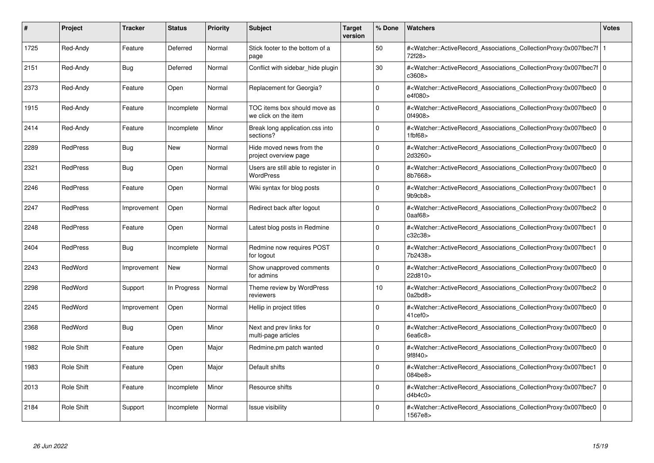| #    | Project           | Tracker     | <b>Status</b> | <b>Priority</b> | <b>Subject</b>                                       | <b>Target</b><br>version | % Done   | <b>Watchers</b>                                                                                                                                                                | <b>Votes</b> |
|------|-------------------|-------------|---------------|-----------------|------------------------------------------------------|--------------------------|----------|--------------------------------------------------------------------------------------------------------------------------------------------------------------------------------|--------------|
| 1725 | Red-Andy          | Feature     | Deferred      | Normal          | Stick footer to the bottom of a<br>page              |                          | 50       | # <watcher::activerecord_associations_collectionproxy:0x007fbec7f 1<br=""  ="">72f28&gt;</watcher::activerecord_associations_collectionproxy:0x007fbec7f>                      |              |
| 2151 | Red-Andy          | <b>Bug</b>  | Deferred      | Normal          | Conflict with sidebar hide plugin                    |                          | 30       | # <watcher::activerecord 0<br="" associations="" collectionproxy:0x007fbec7f=""  ="">c3608&gt;</watcher::activerecord>                                                         |              |
| 2373 | Red-Andy          | Feature     | Open          | Normal          | Replacement for Georgia?                             |                          | $\Omega$ | # <watcher::activerecord_associations_collectionproxy:0x007fbec0<br>e4f080&gt;</watcher::activerecord_associations_collectionproxy:0x007fbec0<br>                              | $\mathbf 0$  |
| 1915 | Red-Andy          | Feature     | Incomplete    | Normal          | TOC items box should move as<br>we click on the item |                          | $\Omega$ | # <watcher::activerecord_associations_collectionproxy:0x007fbec0 0<br=""  ="">0f4908&gt;</watcher::activerecord_associations_collectionproxy:0x007fbec0>                       |              |
| 2414 | Red-Andy          | Feature     | Incomplete    | Minor           | Break long application.css into<br>sections?         |                          | $\Omega$ | # <watcher::activerecord associations="" collectionproxy:0x007fbec0<br="">1fbf68</watcher::activerecord>                                                                       | $\mathbf 0$  |
| 2289 | <b>RedPress</b>   | Bug         | New           | Normal          | Hide moved news from the<br>project overview page    |                          | $\Omega$ | # <watcher::activerecord_associations_collectionproxy:0x007fbec0<br>2d3260&gt;</watcher::activerecord_associations_collectionproxy:0x007fbec0<br>                              | $\mathbf 0$  |
| 2321 | <b>RedPress</b>   | Bug         | Open          | Normal          | Users are still able to register in<br>WordPress     |                          | $\Omega$ | # <watcher::activerecord_associations_collectionproxy:0x007fbec0<br>8b7668&gt;</watcher::activerecord_associations_collectionproxy:0x007fbec0<br>                              | $\mathbf 0$  |
| 2246 | <b>RedPress</b>   | Feature     | Open          | Normal          | Wiki syntax for blog posts                           |                          | $\Omega$ | # <watcher::activerecord associations="" collectionproxy:0x007fbec1<br="">9b9cb8</watcher::activerecord>                                                                       | $\mathbf 0$  |
| 2247 | <b>RedPress</b>   | Improvement | Open          | Normal          | Redirect back after logout                           |                          | $\Omega$ | # <watcher::activerecord_associations_collectionproxy:0x007fbec2 0<br=""  =""><math>0</math>aaf<math>68</math></watcher::activerecord_associations_collectionproxy:0x007fbec2> |              |
| 2248 | <b>RedPress</b>   | Feature     | Open          | Normal          | Latest blog posts in Redmine                         |                          | $\Omega$ | # <watcher::activerecord_associations_collectionproxy:0x007fbec1<br>c32c38&gt;</watcher::activerecord_associations_collectionproxy:0x007fbec1<br>                              | $\Omega$     |
| 2404 | <b>RedPress</b>   | Bug         | Incomplete    | Normal          | Redmine now requires POST<br>for logout              |                          | $\Omega$ | # <watcher::activerecord associations="" collectionproxy:0x007fbec1<br="">7b2438&gt;</watcher::activerecord>                                                                   | $\mathbf 0$  |
| 2243 | RedWord           | Improvement | New           | Normal          | Show unapproved comments<br>for admins               |                          | $\Omega$ | # <watcher::activerecord_associations_collectionproxy:0x007fbec0<br>22d810&gt;</watcher::activerecord_associations_collectionproxy:0x007fbec0<br>                              | $\mathbf 0$  |
| 2298 | RedWord           | Support     | In Progress   | Normal          | Theme review by WordPress<br>reviewers               |                          | 10       | # <watcher::activerecord_associations_collectionproxy:0x007fbec2  <br="">0a2bd8</watcher::activerecord_associations_collectionproxy:0x007fbec2>                                | $\mathbf 0$  |
| 2245 | RedWord           | Improvement | Open          | Normal          | Hellip in project titles                             |                          | $\Omega$ | # <watcher::activerecord associations="" collectionproxy:0x007fbec0<br=""><math>41</math>cef<math>0\geq</math></watcher::activerecord>                                         | $\mathbf 0$  |
| 2368 | RedWord           | <b>Bug</b>  | Open          | Minor           | Next and prev links for<br>multi-page articles       |                          | $\Omega$ | # <watcher::activerecord_associations_collectionproxy:0x007fbec0 0<br=""  ="">6e46c8</watcher::activerecord_associations_collectionproxy:0x007fbec0>                           |              |
| 1982 | Role Shift        | Feature     | Open          | Major           | Redmine.pm patch wanted                              |                          | $\Omega$ | # <watcher::activerecord_associations_collectionproxy:0x007fbec0<br>9f8f40&gt;</watcher::activerecord_associations_collectionproxy:0x007fbec0<br>                              | $\Omega$     |
| 1983 | <b>Role Shift</b> | Feature     | Open          | Major           | Default shifts                                       |                          | $\Omega$ | # <watcher::activerecord 0<br="" associations="" collectionproxy:0x007fbec1=""  ="">084be8&gt;</watcher::activerecord>                                                         |              |
| 2013 | <b>Role Shift</b> | Feature     | Incomplete    | Minor           | Resource shifts                                      |                          | $\Omega$ | # <watcher::activerecord associations="" collectionproxy:0x007fbec7<br="">d4b4c0</watcher::activerecord>                                                                       | $\mathbf 0$  |
| 2184 | <b>Role Shift</b> | Support     | Incomplete    | Normal          | Issue visibility                                     |                          | $\Omega$ | # <watcher::activerecord_associations_collectionproxy:0x007fbec0 0<br=""  ="">1567e8&gt;</watcher::activerecord_associations_collectionproxy:0x007fbec0>                       |              |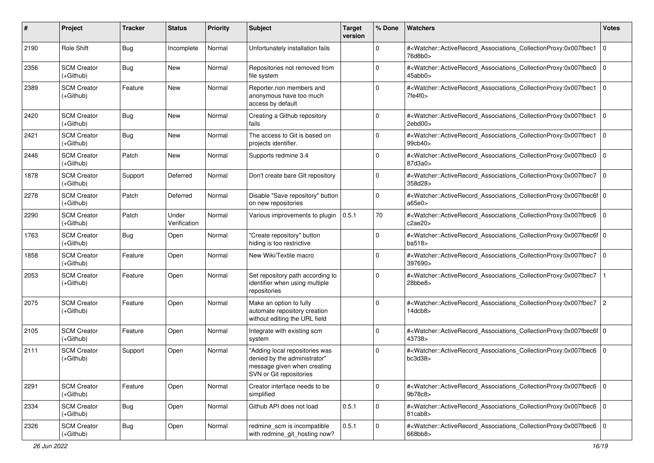| #    | Project                           | <b>Tracker</b> | <b>Status</b>         | <b>Priority</b> | Subject                                                                                                                  | <b>Target</b><br>version | % Done      | <b>Watchers</b>                                                                                                                                           | <b>Votes</b>   |
|------|-----------------------------------|----------------|-----------------------|-----------------|--------------------------------------------------------------------------------------------------------------------------|--------------------------|-------------|-----------------------------------------------------------------------------------------------------------------------------------------------------------|----------------|
| 2190 | Role Shift                        | Bug            | Incomplete            | Normal          | Unfortunately installation fails                                                                                         |                          | 0           | # <watcher::activerecord_associations_collectionproxy:0x007fbec1<br>76d8b0&gt;</watcher::activerecord_associations_collectionproxy:0x007fbec1<br>         | $\mathbf 0$    |
| 2356 | <b>SCM Creator</b><br>(+Github)   | <b>Bug</b>     | New                   | Normal          | Repositories not removed from<br>file system                                                                             |                          | $\Omega$    | # <watcher::activerecord_associations_collectionproxy:0x007fbec0<br>45abb0&gt;</watcher::activerecord_associations_collectionproxy:0x007fbec0<br>         | $\mathbf 0$    |
| 2389 | <b>SCM Creator</b><br>(+Github)   | Feature        | <b>New</b>            | Normal          | Reporter, non members and<br>anonymous have too much<br>access by default                                                |                          | $\Omega$    | # <watcher::activerecord_associations_collectionproxy:0x007fbec1 0<br=""  ="">7fe4f0</watcher::activerecord_associations_collectionproxy:0x007fbec1>      |                |
| 2420 | <b>SCM Creator</b><br>$(+Github)$ | Bug            | <b>New</b>            | Normal          | Creating a Github repository<br>fails                                                                                    |                          | 0           | # <watcher::activerecord_associations_collectionproxy:0x007fbec1<br>2ebd00&gt;</watcher::activerecord_associations_collectionproxy:0x007fbec1<br>         | $\mathbf 0$    |
| 2421 | <b>SCM Creator</b><br>(+Github)   | Bug            | <b>New</b>            | Normal          | The access to Git is based on<br>projects identifier.                                                                    |                          | 0           | # <watcher::activerecord_associations_collectionproxy:0x007fbec1<br>99cb40&gt;</watcher::activerecord_associations_collectionproxy:0x007fbec1<br>         | $\mathbf 0$    |
| 2446 | <b>SCM Creator</b><br>$(+Github)$ | Patch          | <b>New</b>            | Normal          | Supports redmine 3.4                                                                                                     |                          | $\Omega$    | # <watcher::activerecord_associations_collectionproxy:0x007fbec0<br>87d3a0&gt;</watcher::activerecord_associations_collectionproxy:0x007fbec0<br>         | l O            |
| 1878 | <b>SCM Creator</b><br>(+Github)   | Support        | Deferred              | Normal          | Don't create bare GIt repository                                                                                         |                          | $\Omega$    | # <watcher::activerecord_associations_collectionproxy:0x007fbec7<br>358d28&gt;</watcher::activerecord_associations_collectionproxy:0x007fbec7<br>         | $\Omega$       |
| 2278 | <b>SCM Creator</b><br>(+Github)   | Patch          | Deferred              | Normal          | Disable "Save repository" button<br>on new repositories                                                                  |                          | $\mathbf 0$ | # <watcher::activerecord_associations_collectionproxy:0x007fbec6f 0<br=""  ="">a65e0&gt;</watcher::activerecord_associations_collectionproxy:0x007fbec6f> |                |
| 2290 | <b>SCM Creator</b><br>(+Github)   | Patch          | Under<br>Verification | Normal          | Various improvements to plugin                                                                                           | 0.5.1                    | 70          | # <watcher::activerecord_associations_collectionproxy:0x007fbec6<br>c2ae20&gt;</watcher::activerecord_associations_collectionproxy:0x007fbec6<br>         | $\Omega$       |
| 1763 | <b>SCM Creator</b><br>$(+Github)$ | Bug            | Open                  | Normal          | "Create repository" button<br>hiding is too restrictive                                                                  |                          | $\Omega$    | # <watcher::activerecord_associations_collectionproxy:0x007fbec6f 0<br=""  ="">ba518&gt;</watcher::activerecord_associations_collectionproxy:0x007fbec6f> |                |
| 1858 | <b>SCM Creator</b><br>(+Github)   | Feature        | Open                  | Normal          | New Wiki/Textile macro                                                                                                   |                          | $\Omega$    | # <watcher::activerecord_associations_collectionproxy:0x007fbec7<br>397690&gt;</watcher::activerecord_associations_collectionproxy:0x007fbec7<br>         | $\mathbf 0$    |
| 2053 | <b>SCM Creator</b><br>(+Github)   | Feature        | Open                  | Normal          | Set repository path according to<br>identifier when using multiple<br>repositories                                       |                          | $\mathbf 0$ | # <watcher::activerecord_associations_collectionproxy:0x007fbec7<br>28bbe8&gt;</watcher::activerecord_associations_collectionproxy:0x007fbec7<br>         |                |
| 2075 | <b>SCM Creator</b><br>$(+Github)$ | Feature        | Open                  | Normal          | Make an option to fully<br>automate repository creation<br>without editing the URL field                                 |                          | $\Omega$    | # <watcher::activerecord_associations_collectionproxy:0x007fbec7<br>14dcb8&gt;</watcher::activerecord_associations_collectionproxy:0x007fbec7<br>         | $\overline{2}$ |
| 2105 | <b>SCM Creator</b><br>$(+Github)$ | Feature        | Open                  | Normal          | Integrate with existing scm<br>system                                                                                    |                          | $\Omega$    | # <watcher::activerecord_associations_collectionproxy:0x007fbec6f 0<br=""  ="">43738&gt;</watcher::activerecord_associations_collectionproxy:0x007fbec6f> |                |
| 2111 | <b>SCM Creator</b><br>(+Github)   | Support        | Open                  | Normal          | "Adding local repositories was<br>denied by the administrator"<br>message given when creating<br>SVN or Git repositories |                          | $\Omega$    | # <watcher::activerecord_associations_collectionproxy:0x007fbec6<br>bc3d38</watcher::activerecord_associations_collectionproxy:0x007fbec6<br>             | $\Omega$       |
| 2291 | <b>SCM Creator</b><br>(+Github)   | Feature        | Open                  | Normal          | Creator interface needs to be<br>simplified                                                                              |                          | 0           | # <watcher::activerecord_associations_collectionproxy:0x007fbec6 0<br="">9b78c8&gt;</watcher::activerecord_associations_collectionproxy:0x007fbec6>       |                |
| 2334 | <b>SCM Creator</b><br>$(+Github)$ | <b>Bug</b>     | Open                  | Normal          | Github API does not load                                                                                                 | 0.5.1                    | $\mathbf 0$ | # <watcher::activerecord_associations_collectionproxy:0x007fbec6 0<br="">81cab8&gt;</watcher::activerecord_associations_collectionproxy:0x007fbec6>       |                |
| 2326 | <b>SCM Creator</b><br>(+Github)   | <b>Bug</b>     | Open                  | Normal          | redmine_scm is incompatible<br>with redmine_git_hosting now?                                                             | 0.5.1                    | $\mathbf 0$ | # <watcher::activerecord_associations_collectionproxy:0x007fbec6 0<br="">668bb8&gt;</watcher::activerecord_associations_collectionproxy:0x007fbec6>       |                |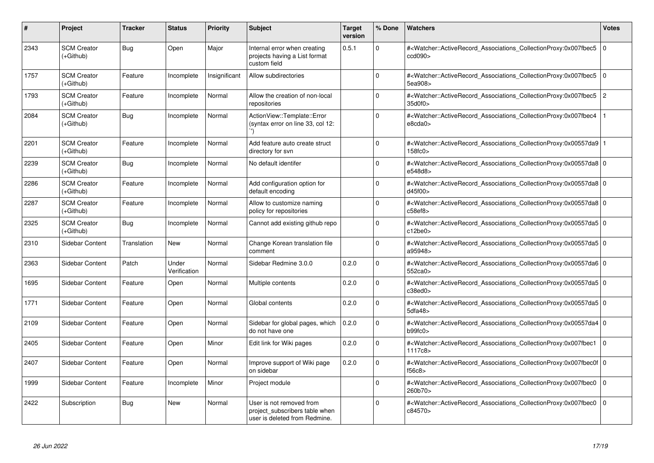| #    | <b>Project</b>                    | <b>Tracker</b> | <b>Status</b>         | <b>Priority</b> | <b>Subject</b>                                                                              | <b>Target</b><br>version | % Done      | Watchers                                                                                                                                                 | <b>Votes</b>   |
|------|-----------------------------------|----------------|-----------------------|-----------------|---------------------------------------------------------------------------------------------|--------------------------|-------------|----------------------------------------------------------------------------------------------------------------------------------------------------------|----------------|
| 2343 | <b>SCM Creator</b><br>(+Github)   | <b>Bug</b>     | Open                  | Major           | Internal error when creating<br>projects having a List format<br>custom field               | 0.5.1                    | $\Omega$    | # <watcher::activerecord associations="" collectionproxy:0x007fbec5<br="">ccd090&gt;</watcher::activerecord>                                             | $\overline{0}$ |
| 1757 | <b>SCM Creator</b><br>$(+Github)$ | Feature        | Incomplete            | Insignificant   | Allow subdirectories                                                                        |                          | $\Omega$    | # <watcher::activerecord_associations_collectionproxy:0x007fbec5 0<br="">5ea908&gt;</watcher::activerecord_associations_collectionproxy:0x007fbec5>      |                |
| 1793 | <b>SCM Creator</b><br>(+Github)   | Feature        | Incomplete            | Normal          | Allow the creation of non-local<br>repositories                                             |                          | $\Omega$    | # <watcher::activerecord associations="" collectionproxy:0x007fbec5<br="">35d0f0&gt;</watcher::activerecord>                                             | $\vert$ 2      |
| 2084 | <b>SCM Creator</b><br>(+Github)   | Bug            | Incomplete            | Normal          | ActionView::Template::Error<br>(syntax error on line 33, col 12:                            |                          | $\Omega$    | # <watcher::activerecord_associations_collectionproxy:0x007fbec4<br>e8cda0&gt;</watcher::activerecord_associations_collectionproxy:0x007fbec4<br>        |                |
| 2201 | <b>SCM Creator</b><br>(+Github)   | Feature        | Incomplete            | Normal          | Add feature auto create struct<br>directory for svn                                         |                          | $\Omega$    | # <watcher::activerecord 1<br="" associations="" collectionproxy:0x00557da9=""  =""><math>158</math>fc<math>0</math></watcher::activerecord>             |                |
| 2239 | <b>SCM Creator</b><br>$(+Github)$ | <b>Bug</b>     | Incomplete            | Normal          | No default identifer                                                                        |                          | $\Omega$    | # <watcher::activerecord_associations_collectionproxy:0x00557da8 0<br=""  ="">e548d8&gt;</watcher::activerecord_associations_collectionproxy:0x00557da8> |                |
| 2286 | <b>SCM Creator</b><br>$(+Github)$ | Feature        | Incomplete            | Normal          | Add configuration option for<br>default encoding                                            |                          | $\Omega$    | # <watcher::activerecord_associations_collectionproxy:0x00557da8 0<br=""  ="">d45f00&gt;</watcher::activerecord_associations_collectionproxy:0x00557da8> |                |
| 2287 | <b>SCM Creator</b><br>(+Github)   | Feature        | Incomplete            | Normal          | Allow to customize naming<br>policy for repositories                                        |                          | $\Omega$    | # <watcher::activerecord 0<br="" associations="" collectionproxy:0x00557da8=""  ="">c58ef8</watcher::activerecord>                                       |                |
| 2325 | <b>SCM Creator</b><br>(+Github)   | <b>Bug</b>     | Incomplete            | Normal          | Cannot add existing github repo                                                             |                          | $\Omega$    | # <watcher::activerecord_associations_collectionproxy:0x00557da5 0<br="">c12be0</watcher::activerecord_associations_collectionproxy:0x00557da5>          |                |
| 2310 | Sidebar Content                   | Translation    | <b>New</b>            | Normal          | Change Korean translation file<br>comment                                                   |                          | $\Omega$    | # <watcher::activerecord_associations_collectionproxy:0x00557da5 0<br=""  ="">a95948&gt;</watcher::activerecord_associations_collectionproxy:0x00557da5> |                |
| 2363 | Sidebar Content                   | Patch          | Under<br>Verification | Normal          | Sidebar Redmine 3.0.0                                                                       | 0.2.0                    | $\Omega$    | # <watcher::activerecord_associations_collectionproxy:0x00557da6 0<br=""  ="">552ca0&gt;</watcher::activerecord_associations_collectionproxy:0x00557da6> |                |
| 1695 | Sidebar Content                   | Feature        | Open                  | Normal          | Multiple contents                                                                           | 0.2.0                    | $\mathbf 0$ | # <watcher::activerecord_associations_collectionproxy:0x00557da5 0<br=""  ="">c38ed0&gt;</watcher::activerecord_associations_collectionproxy:0x00557da5> |                |
| 1771 | Sidebar Content                   | Feature        | Open                  | Normal          | Global contents                                                                             | 0.2.0                    | $\Omega$    | # <watcher::activerecord 0<br="" associations="" collectionproxy:0x00557da5=""  ="">5dfa48</watcher::activerecord>                                       |                |
| 2109 | Sidebar Content                   | Feature        | Open                  | Normal          | Sidebar for global pages, which<br>do not have one                                          | 0.2.0                    | $\Omega$    | # <watcher::activerecord_associations_collectionproxy:0x00557da4 0<br=""  ="">b99fc0</watcher::activerecord_associations_collectionproxy:0x00557da4>     |                |
| 2405 | Sidebar Content                   | Feature        | Open                  | Minor           | Edit link for Wiki pages                                                                    | 0.2.0                    | $\Omega$    | # <watcher::activerecord_associations_collectionproxy:0x007fbec1<br>1117c8&gt;</watcher::activerecord_associations_collectionproxy:0x007fbec1<br>        | $\overline{0}$ |
| 2407 | Sidebar Content                   | Feature        | Open                  | Normal          | Improve support of Wiki page<br>on sidebar                                                  | 0.2.0                    | $\Omega$    | # <watcher::activerecord_associations_collectionproxy:0x007fbec0f 0<br=""  ="">f56c8</watcher::activerecord_associations_collectionproxy:0x007fbec0f>    |                |
| 1999 | Sidebar Content                   | Feature        | Incomplete            | Minor           | Project module                                                                              |                          | $\Omega$    | # <watcher::activerecord_associations_collectionproxy:0x007fbec0 0<br="">260b70&gt;</watcher::activerecord_associations_collectionproxy:0x007fbec0>      |                |
| 2422 | Subscription                      | <b>Bug</b>     | New                   | Normal          | User is not removed from<br>project subscribers table when<br>user is deleted from Redmine. |                          | $\Omega$    | # <watcher::activerecord associations="" collectionproxy:0x007fbec0<br="">c84570&gt;</watcher::activerecord>                                             | $\overline{0}$ |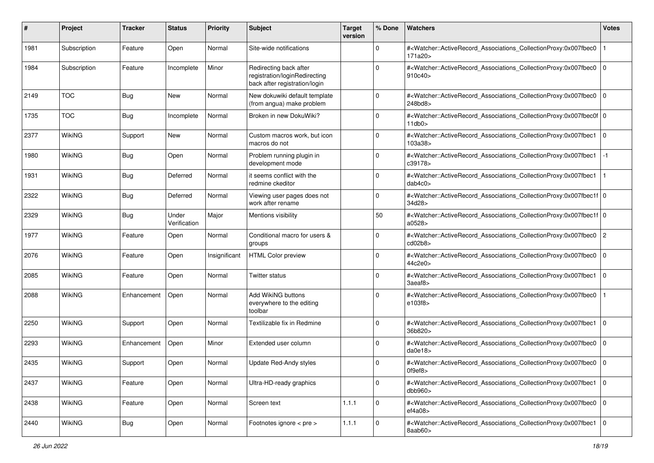| #    | Project       | <b>Tracker</b> | <b>Status</b>         | <b>Priority</b> | <b>Subject</b>                                                                           | <b>Target</b><br>version | % Done         | Watchers                                                                                                                                                   | <b>Votes</b>   |
|------|---------------|----------------|-----------------------|-----------------|------------------------------------------------------------------------------------------|--------------------------|----------------|------------------------------------------------------------------------------------------------------------------------------------------------------------|----------------|
| 1981 | Subscription  | Feature        | Open                  | Normal          | Site-wide notifications                                                                  |                          | 0              | # <watcher::activerecord_associations_collectionproxy:0x007fbec0<br>171a20&gt;</watcher::activerecord_associations_collectionproxy:0x007fbec0<br>          |                |
| 1984 | Subscription  | Feature        | Incomplete            | Minor           | Redirecting back after<br>registration/loginRedirecting<br>back after registration/login |                          | $\Omega$       | # <watcher::activerecord_associations_collectionproxy:0x007fbec0<br>910c40&gt;</watcher::activerecord_associations_collectionproxy:0x007fbec0<br>          | 0              |
| 2149 | <b>TOC</b>    | Bug            | <b>New</b>            | Normal          | New dokuwiki default template<br>(from angua) make problem                               |                          | $\Omega$       | # <watcher::activerecord_associations_collectionproxy:0x007fbec0<br>248bd8&gt;</watcher::activerecord_associations_collectionproxy:0x007fbec0<br>          | 0              |
| 1735 | <b>TOC</b>    | Bug            | Incomplete            | Normal          | Broken in new DokuWiki?                                                                  |                          | 0              | # <watcher::activerecord_associations_collectionproxy:0x007fbec0f 0<br=""  ="">11db0</watcher::activerecord_associations_collectionproxy:0x007fbec0f>      |                |
| 2377 | <b>WikiNG</b> | Support        | <b>New</b>            | Normal          | Custom macros work, but icon<br>macros do not                                            |                          | $\mathbf 0$    | # <watcher::activerecord_associations_collectionproxy:0x007fbec1<br>103a38&gt;</watcher::activerecord_associations_collectionproxy:0x007fbec1<br>          | 0              |
| 1980 | <b>WikiNG</b> | Bug            | Open                  | Normal          | Problem running plugin in<br>development mode                                            |                          | 0              | # <watcher::activerecord_associations_collectionproxy:0x007fbec1<br>c39178&gt;</watcher::activerecord_associations_collectionproxy:0x007fbec1<br>          | -1             |
| 1931 | <b>WikiNG</b> | Bug            | Deferred              | Normal          | it seems conflict with the<br>redmine ckeditor                                           |                          | 0              | # <watcher::activerecord_associations_collectionproxy:0x007fbec1<br>dab4c0</watcher::activerecord_associations_collectionproxy:0x007fbec1<br>              |                |
| 2322 | WikiNG        | Bug            | Deferred              | Normal          | Viewing user pages does not<br>work after rename                                         |                          | $\overline{0}$ | # <watcher::activerecord_associations_collectionproxy:0x007fbec1f 0<br=""  ="">34d28&gt;</watcher::activerecord_associations_collectionproxy:0x007fbec1f>  |                |
| 2329 | <b>WikiNG</b> | Bug            | Under<br>Verification | Major           | Mentions visibility                                                                      |                          | 50             | # <watcher::activerecord_associations_collectionproxy:0x007fbec1f 0<br=""  ="">a0528 &gt;</watcher::activerecord_associations_collectionproxy:0x007fbec1f> |                |
| 1977 | <b>WikiNG</b> | Feature        | Open                  | Normal          | Conditional macro for users &<br>groups                                                  |                          | $\Omega$       | # <watcher::activerecord_associations_collectionproxy:0x007fbec0<br>cd02b8</watcher::activerecord_associations_collectionproxy:0x007fbec0<br>              | $\overline{2}$ |
| 2076 | WikiNG        | Feature        | Open                  | Insignificant   | <b>HTML Color preview</b>                                                                |                          | 0              | # <watcher::activerecord_associations_collectionproxy:0x007fbec0<br>44c2e0&gt;</watcher::activerecord_associations_collectionproxy:0x007fbec0<br>          | l 0            |
| 2085 | <b>WikiNG</b> | Feature        | Open                  | Normal          | Twitter status                                                                           |                          | $\Omega$       | # <watcher::activerecord_associations_collectionproxy:0x007fbec1<br>3aeaf8&gt;</watcher::activerecord_associations_collectionproxy:0x007fbec1<br>          | 0              |
| 2088 | WikiNG        | Enhancement    | Open                  | Normal          | Add WikiNG buttons<br>everywhere to the editing<br>toolbar                               |                          | $\Omega$       | # <watcher::activerecord_associations_collectionproxy:0x007fbec0<br>e103f8&gt;</watcher::activerecord_associations_collectionproxy:0x007fbec0<br>          |                |
| 2250 | WikiNG        | Support        | Open                  | Normal          | Textilizable fix in Redmine                                                              |                          | 0              | # <watcher::activerecord_associations_collectionproxy:0x007fbec1 0<br=""  ="">36b820&gt;</watcher::activerecord_associations_collectionproxy:0x007fbec1>   |                |
| 2293 | <b>WikiNG</b> | Enhancement    | Open                  | Minor           | Extended user column                                                                     |                          | $\Omega$       | # <watcher::activerecord_associations_collectionproxy:0x007fbec0<br>da0e18</watcher::activerecord_associations_collectionproxy:0x007fbec0<br>              | 0              |
| 2435 | WikiNG        | Support        | Open                  | Normal          | Update Red-Andy styles                                                                   |                          | 0              | # <watcher::activerecord_associations_collectionproxy:0x007fbec0 0<br=""  ="">Of9ef8&gt;</watcher::activerecord_associations_collectionproxy:0x007fbec0>   |                |
| 2437 | WikiNG        | Feature        | Open                  | Normal          | Ultra-HD-ready graphics                                                                  |                          | 0              | # <watcher::activerecord 0<br="" associations="" collectionproxy:0x007fbec1="">dbb960</watcher::activerecord>                                              |                |
| 2438 | WikiNG        | Feature        | Open                  | Normal          | Screen text                                                                              | 1.1.1                    | $\mathbf 0$    | # <watcher::activerecord_associations_collectionproxy:0x007fbec0 0<br="">ef4a08&gt;</watcher::activerecord_associations_collectionproxy:0x007fbec0>        |                |
| 2440 | WikiNG        | Bug            | Open                  | Normal          | Footnotes ignore < pre >                                                                 | 1.1.1                    | $\mathbf 0$    | # <watcher::activerecord_associations_collectionproxy:0x007fbec1 0<br="">8aab60&gt;</watcher::activerecord_associations_collectionproxy:0x007fbec1>        |                |